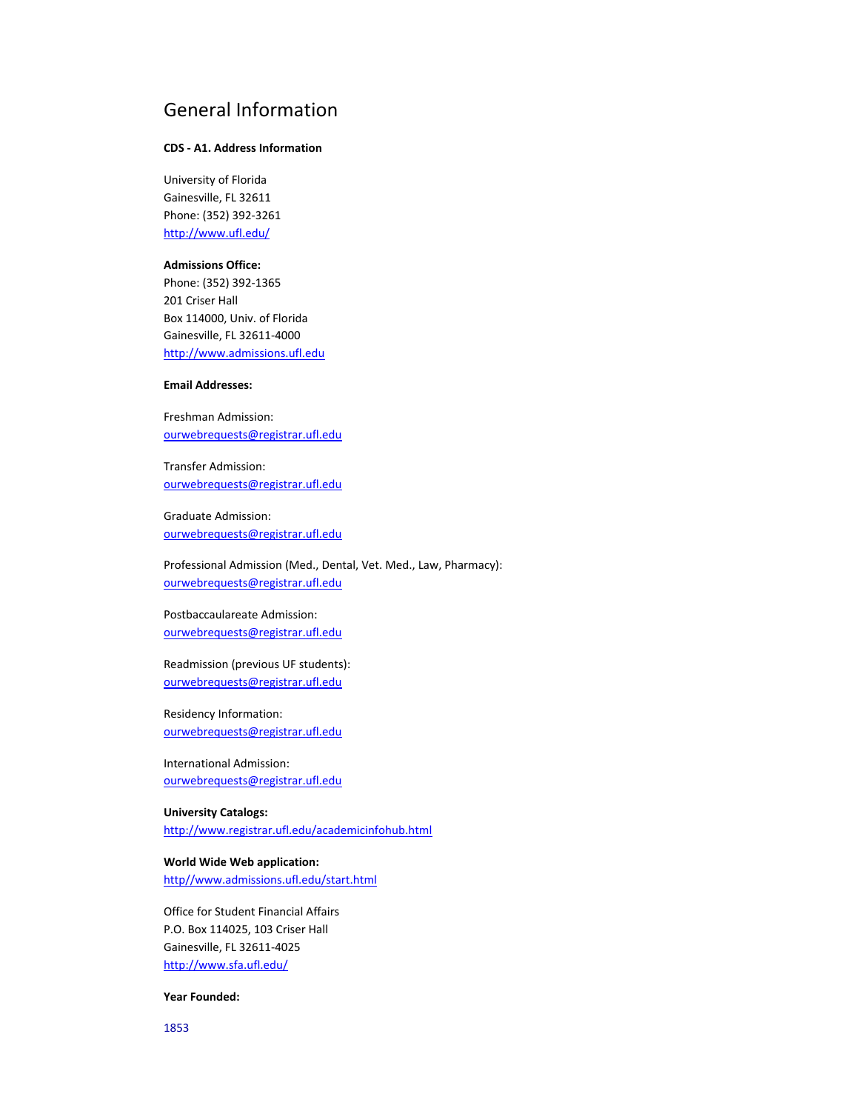## General Information

### **CDS ‐ A1. Address Information**

University of Florida Gainesville, FL 32611 Phone: (352) 392‐3261 http://www.ufl.edu/

### **Admissions Office:**

Phone: (352) 392‐1365 201 Criser Hall Box 114000, Univ. of Florida Gainesville, FL 32611‐4000 http://www.admissions.ufl.edu

### **Email Addresses:**

Freshman Admission: ourwebrequests@registrar.ufl.edu

Transfer Admission: ourwebrequests@registrar.ufl.edu

Graduate Admission: ourwebrequests@registrar.ufl.edu

Professional Admission (Med., Dental, Vet. Med., Law, Pharmacy): ourwebrequests@registrar.ufl.edu

Postbaccaulareate Admission: ourwebrequests@registrar.ufl.edu

Readmission (previous UF students): ourwebrequests@registrar.ufl.edu

Residency Information: ourwebrequests@registrar.ufl.edu

International Admission: ourwebrequests@registrar.ufl.edu

**University Catalogs:** http://www.registrar.ufl.edu/academicinfohub.html

**World Wide Web application:** http//www.admissions.ufl.edu/start.html

Office for Student Financial Affairs P.O. Box 114025, 103 Criser Hall Gainesville, FL 32611‐4025 http://www.sfa.ufl.edu/

### **Year Founded:**

1853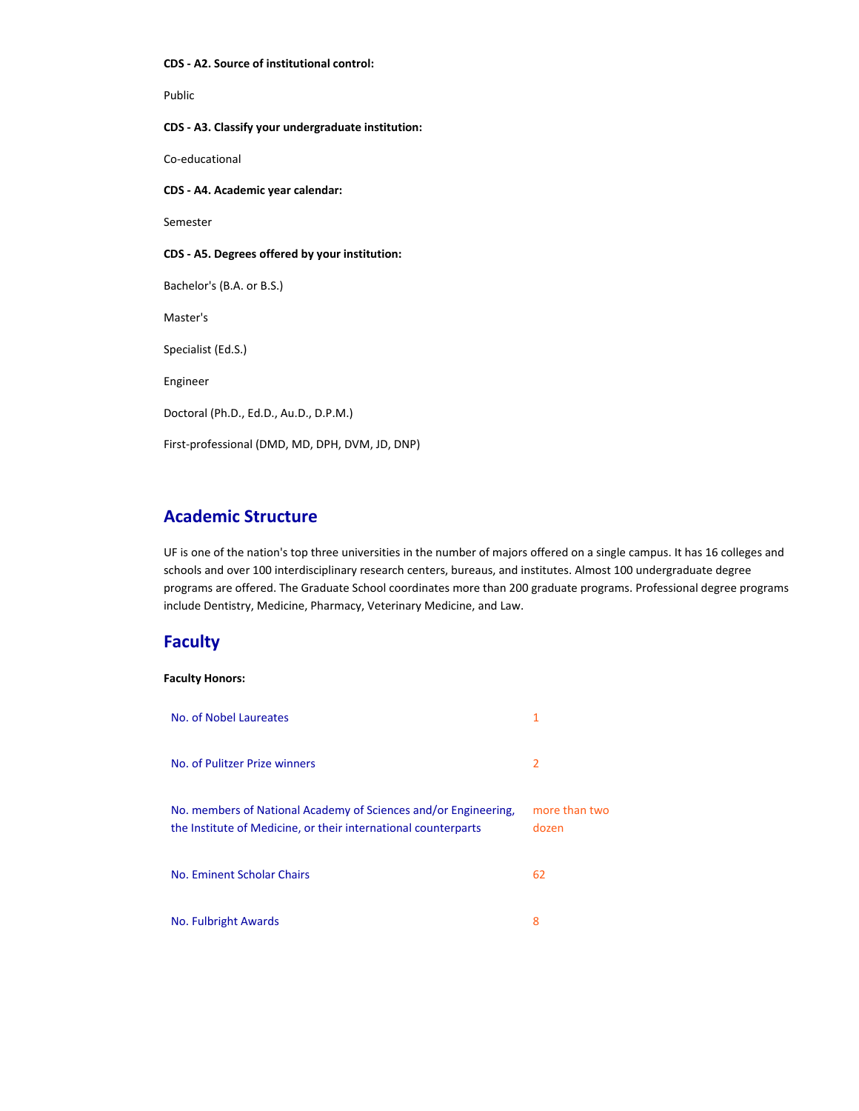#### **CDS ‐ A2. Source of institutional control:**

Public

**CDS ‐ A3. Classify your undergraduate institution:**

Co‐educational

**CDS ‐ A4. Academic year calendar:**

Semester

**CDS ‐ A5. Degrees offered by your institution:**

Bachelor's (B.A. or B.S.)

Master's

Specialist (Ed.S.)

Engineer

Doctoral (Ph.D., Ed.D., Au.D., D.P.M.)

First‐professional (DMD, MD, DPH, DVM, JD, DNP)

## **Academic Structure**

UF is one of the nation's top three universities in the number of majors offered on a single campus. It has 16 colleges and schools and over 100 interdisciplinary research centers, bureaus, and institutes. Almost 100 undergraduate degree programs are offered. The Graduate School coordinates more than 200 graduate programs. Professional degree programs include Dentistry, Medicine, Pharmacy, Veterinary Medicine, and Law.

## **Faculty**

### **Faculty Honors:**

| No. of Nobel Laureates                                                                                                            | 1                      |
|-----------------------------------------------------------------------------------------------------------------------------------|------------------------|
| No. of Pulitzer Prize winners                                                                                                     | 2                      |
| No. members of National Academy of Sciences and/or Engineering,<br>the Institute of Medicine, or their international counterparts | more than two<br>dozen |
| No. Eminent Scholar Chairs                                                                                                        | 62                     |
| No. Fulbright Awards                                                                                                              | 8                      |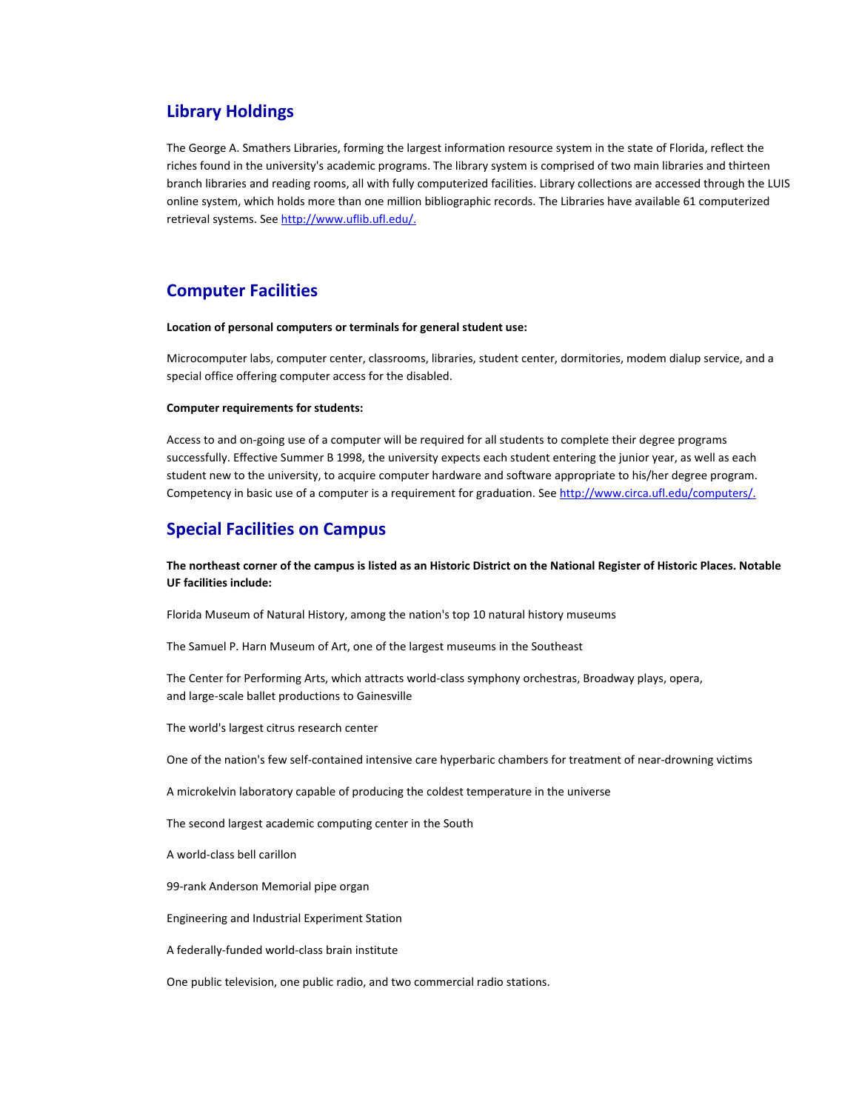### **Library Holdings**

The George A. Smathers Libraries, forming the largest information resource system in the state of Florida, reflect the riches found in the university's academic programs. The library system is comprised of two main libraries and thirteen branch libraries and reading rooms, all with fully computerized facilities. Library collections are accessed through the LUIS online system, which holds more than one million bibliographic records. The Libraries have available 61 computerized retrieval systems. See http://www.uflib.ufl.edu/.

## **Computer Facilities**

#### **Location of personal computers or terminals for general student use:**

Microcomputer labs, computer center, classrooms, libraries, student center, dormitories, modem dialup service, and a special office offering computer access for the disabled.

#### **Computer requirements for students:**

Access to and on‐going use of a computer will be required for all students to complete their degree programs successfully. Effective Summer B 1998, the university expects each student entering the junior year, as well as each student new to the university, to acquire computer hardware and software appropriate to his/her degree program. Competency in basic use of a computer is a requirement for graduation. See http://www.circa.ufl.edu/computers/.

### **Special Facilities on Campus**

The northeast corner of the campus is listed as an Historic District on the National Register of Historic Places. Notable **UF facilities include:**

Florida Museum of Natural History, among the nation's top 10 natural history museums

The Samuel P. Harn Museum of Art, one of the largest museums in the Southeast

The Center for Performing Arts, which attracts world‐class symphony orchestras, Broadway plays, opera, and large‐scale ballet productions to Gainesville

The world's largest citrus research center

One of the nation's few self‐contained intensive care hyperbaric chambers for treatment of near‐drowning victims

A microkelvin laboratory capable of producing the coldest temperature in the universe

The second largest academic computing center in the South

A world‐class bell carillon

99-rank Anderson Memorial pipe organ

Engineering and Industrial Experiment Station

A federally‐funded world‐class brain institute

One public television, one public radio, and two commercial radio stations.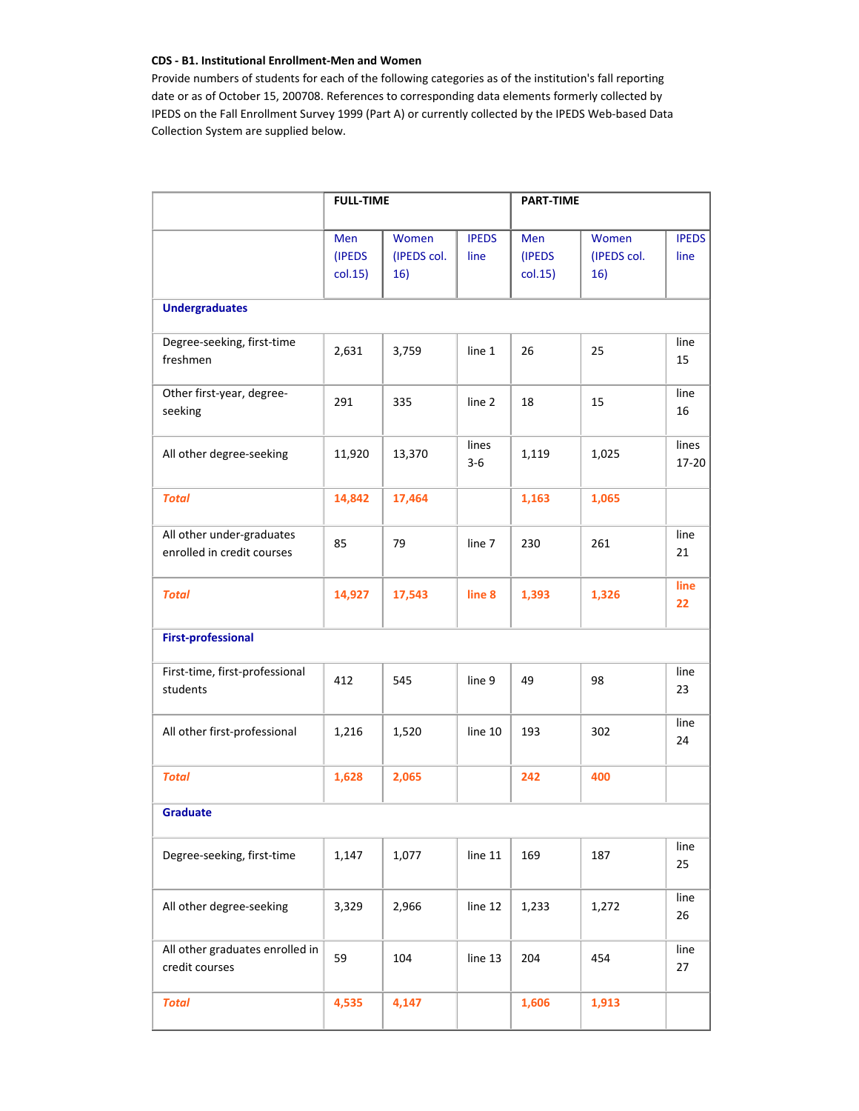### **CDS ‐ B1. Institutional Enrollment‐Men and Women**

Provide numbers of students for each of the following categories as of the institution's fall reporting date or as of October 15, 200708. References to corresponding data elements formerly collected by IPEDS on the Fall Enrollment Survey 1999 (Part A) or currently collected by the IPEDS Web‐based Data Collection System are supplied below.

|                                                         | <b>FULL-TIME</b>         |                             |                      | <b>PART-TIME</b>         |                             |                      |
|---------------------------------------------------------|--------------------------|-----------------------------|----------------------|--------------------------|-----------------------------|----------------------|
|                                                         | Men<br>(IPEDS<br>col.15) | Women<br>(IPEDS col.<br>16) | <b>IPEDS</b><br>line | Men<br>(IPEDS<br>col.15) | Women<br>(IPEDS col.<br>16) | <b>IPEDS</b><br>line |
| <b>Undergraduates</b>                                   |                          |                             |                      |                          |                             |                      |
| Degree-seeking, first-time<br>freshmen                  | 2,631                    | 3,759                       | line 1               | 26                       | 25                          | line<br>15           |
| Other first-year, degree-<br>seeking                    | 291                      | 335                         | line 2               | 18                       | 15                          | line<br>16           |
| All other degree-seeking                                | 11,920                   | 13,370                      | lines<br>$3 - 6$     | 1,119                    | 1,025                       | lines<br>17-20       |
| <b>Total</b>                                            | 14,842                   | 17,464                      |                      | 1,163                    | 1,065                       |                      |
| All other under-graduates<br>enrolled in credit courses | 85                       | 79                          | line 7               | 230                      | 261                         | line<br>21           |
| <b>Total</b>                                            | 14,927                   | 17,543                      | line 8               | 1,393                    | 1,326                       | line<br>22           |
| <b>First-professional</b>                               |                          |                             |                      |                          |                             |                      |
| First-time, first-professional<br>students              | 412                      | 545                         | line 9               | 49                       | 98                          | line<br>23           |
| All other first-professional                            | 1,216                    | 1,520                       | line 10              | 193                      | 302                         | line<br>24           |
| <b>Total</b>                                            | 1,628                    | 2,065                       |                      | 242                      | 400                         |                      |
| <b>Graduate</b>                                         |                          |                             |                      |                          |                             |                      |
| Degree-seeking, first-time                              | 1,147                    | 1,077                       | line 11              | 169                      | 187                         | line<br>25           |
| All other degree-seeking                                | 3,329                    | 2,966                       | line 12              | 1,233                    | 1,272                       | line<br>26           |
| All other graduates enrolled in<br>credit courses       | 59                       | 104                         | line 13              | 204                      | 454                         | line<br>27           |
| <b>Total</b>                                            | 4,535                    | 4,147                       |                      | 1,606                    | 1,913                       |                      |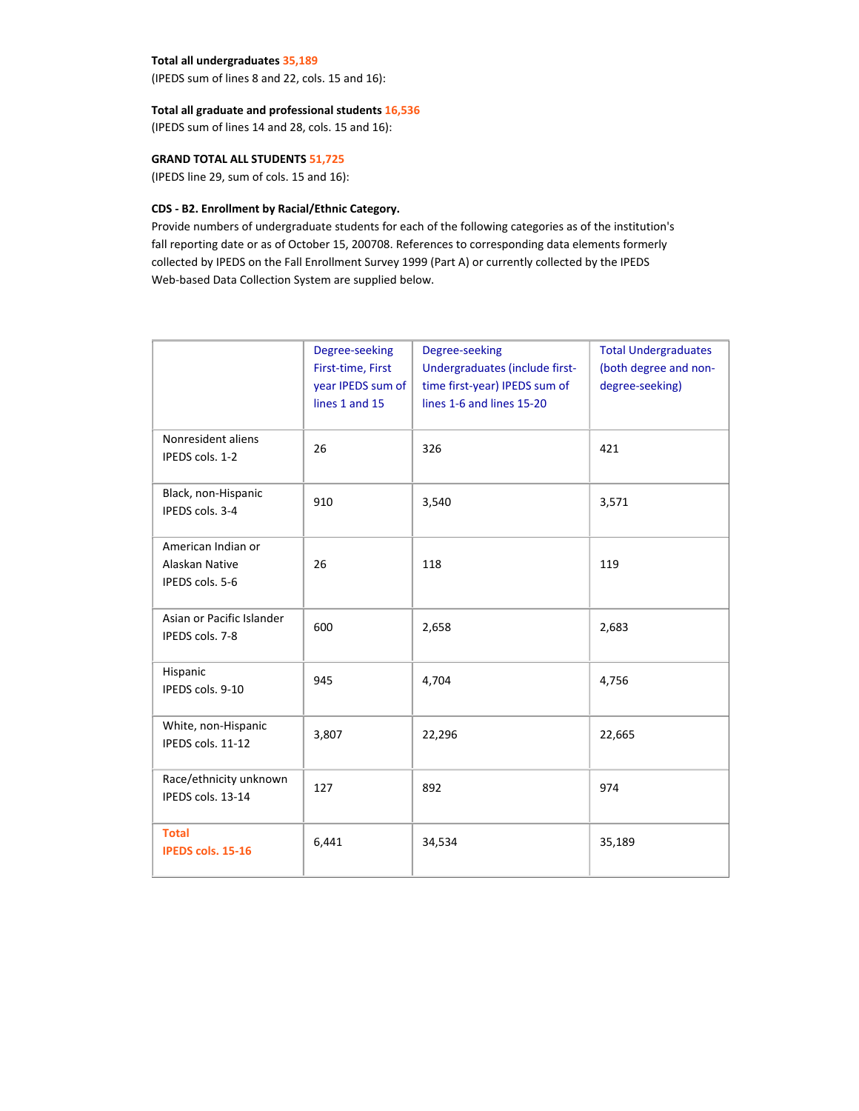### **Total all undergraduates 35,189**

(IPEDS sum of lines 8 and 22, cols. 15 and 16):

### **Total all graduate and professional students 16,536**

(IPEDS sum of lines 14 and 28, cols. 15 and 16):

### **GRAND TOTAL ALL STUDENTS 51,725**

(IPEDS line 29, sum of cols. 15 and 16):

### **CDS ‐ B2. Enrollment by Racial/Ethnic Category.**

Provide numbers of undergraduate students for each of the following categories as of the institution's fall reporting date or as of October 15, 200708. References to corresponding data elements formerly collected by IPEDS on the Fall Enrollment Survey 1999 (Part A) or currently collected by the IPEDS Web-based Data Collection System are supplied below.

|                                                         | Degree-seeking<br>First-time, First<br>year IPEDS sum of<br>lines 1 and 15 | Degree-seeking<br>Undergraduates (include first-<br>time first-year) IPEDS sum of<br>lines 1-6 and lines 15-20 | <b>Total Undergraduates</b><br>(both degree and non-<br>degree-seeking) |
|---------------------------------------------------------|----------------------------------------------------------------------------|----------------------------------------------------------------------------------------------------------------|-------------------------------------------------------------------------|
| Nonresident aliens<br>IPEDS cols. 1-2                   | 26                                                                         | 326                                                                                                            | 421                                                                     |
| Black, non-Hispanic<br>IPEDS cols. 3-4                  | 910                                                                        | 3,540                                                                                                          | 3,571                                                                   |
| American Indian or<br>Alaskan Native<br>IPEDS cols. 5-6 | 26                                                                         | 118                                                                                                            | 119                                                                     |
| Asian or Pacific Islander<br>IPEDS cols. 7-8            | 600                                                                        | 2,658                                                                                                          | 2,683                                                                   |
| Hispanic<br>IPEDS cols. 9-10                            | 945                                                                        | 4,704                                                                                                          | 4,756                                                                   |
| White, non-Hispanic<br>IPEDS cols. 11-12                | 3,807                                                                      | 22,296                                                                                                         | 22,665                                                                  |
| Race/ethnicity unknown<br>IPEDS cols. 13-14             | 127                                                                        | 892                                                                                                            | 974                                                                     |
| <b>Total</b><br><b>IPEDS cols. 15-16</b>                | 6,441                                                                      | 34,534                                                                                                         | 35,189                                                                  |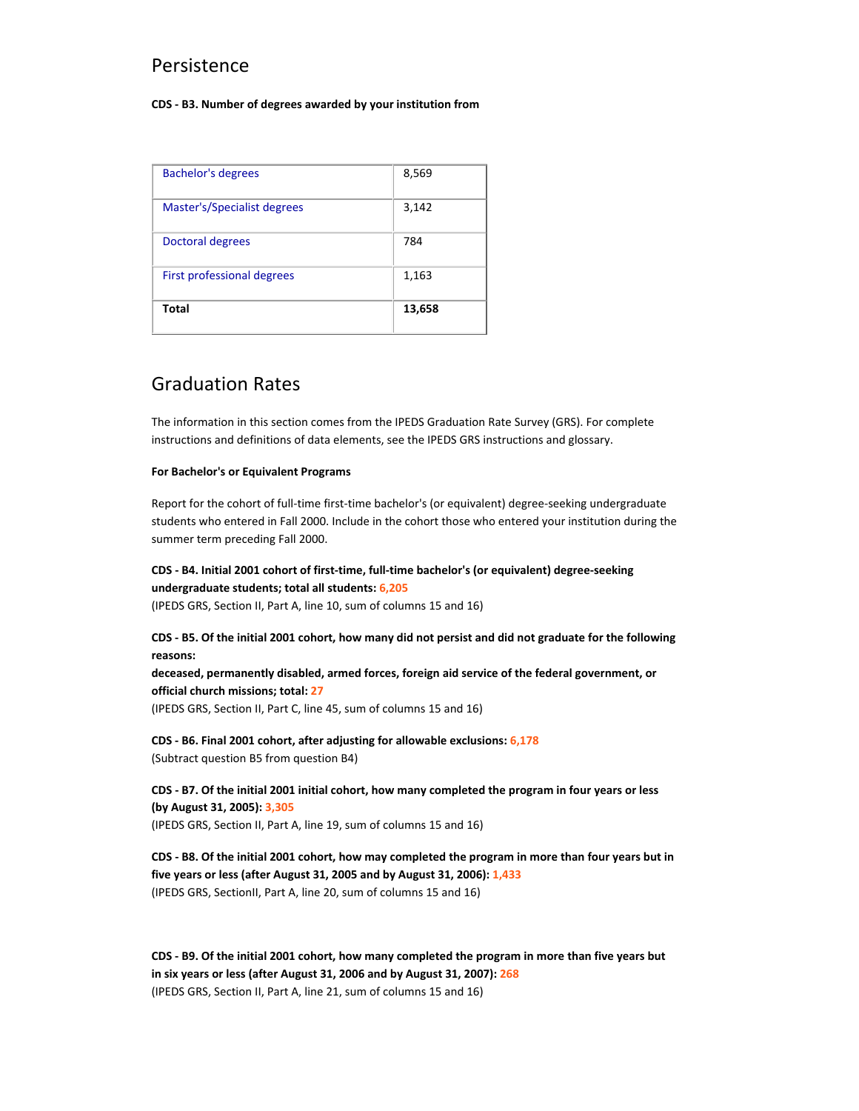## Persistence

#### **CDS ‐ B3. Number of degrees awarded by your institution from**

| <b>Bachelor's degrees</b>   | 8,569  |
|-----------------------------|--------|
| Master's/Specialist degrees | 3,142  |
| Doctoral degrees            | 784    |
| First professional degrees  | 1,163  |
| Total                       | 13,658 |

# Graduation Rates

The information in this section comes from the IPEDS Graduation Rate Survey (GRS). For complete instructions and definitions of data elements, see the IPEDS GRS instructions and glossary.

### **For Bachelor's or Equivalent Programs**

Report for the cohort of full-time first-time bachelor's (or equivalent) degree-seeking undergraduate students who entered in Fall 2000. Include in the cohort those who entered your institution during the summer term preceding Fall 2000.

## CDS - B4. Initial 2001 cohort of first-time, full-time bachelor's (or equivalent) degree-seeking **undergraduate students; total all students: 6,205**

(IPEDS GRS, Section II, Part A, line 10, sum of columns 15 and 16)

### CDS - B5. Of the initial 2001 cohort, how many did not persist and did not graduate for the following **reasons:**

**deceased, permanently disabled, armed forces, foreign aid service of the federal government, or official church missions; total: 27**

(IPEDS GRS, Section II, Part C, line 45, sum of columns 15 and 16)

**CDS ‐ B6. Final 2001 cohort, after adjusting for allowable exclusions: 6,178** (Subtract question B5 from question B4)

CDS - B7. Of the initial 2001 initial cohort, how many completed the program in four years or less **(by August 31, 2005): 3,305** (IPEDS GRS, Section II, Part A, line 19, sum of columns 15 and 16)

CDS - B8. Of the initial 2001 cohort, how may completed the program in more than four years but in **five years or less (after August 31, 2005 and by August 31, 2006): 1,433** (IPEDS GRS, SectionII, Part A, line 20, sum of columns 15 and 16)

CDS - B9. Of the initial 2001 cohort, how many completed the program in more than five years but **in six years or less (after August 31, 2006 and by August 31, 2007): 268** (IPEDS GRS, Section II, Part A, line 21, sum of columns 15 and 16)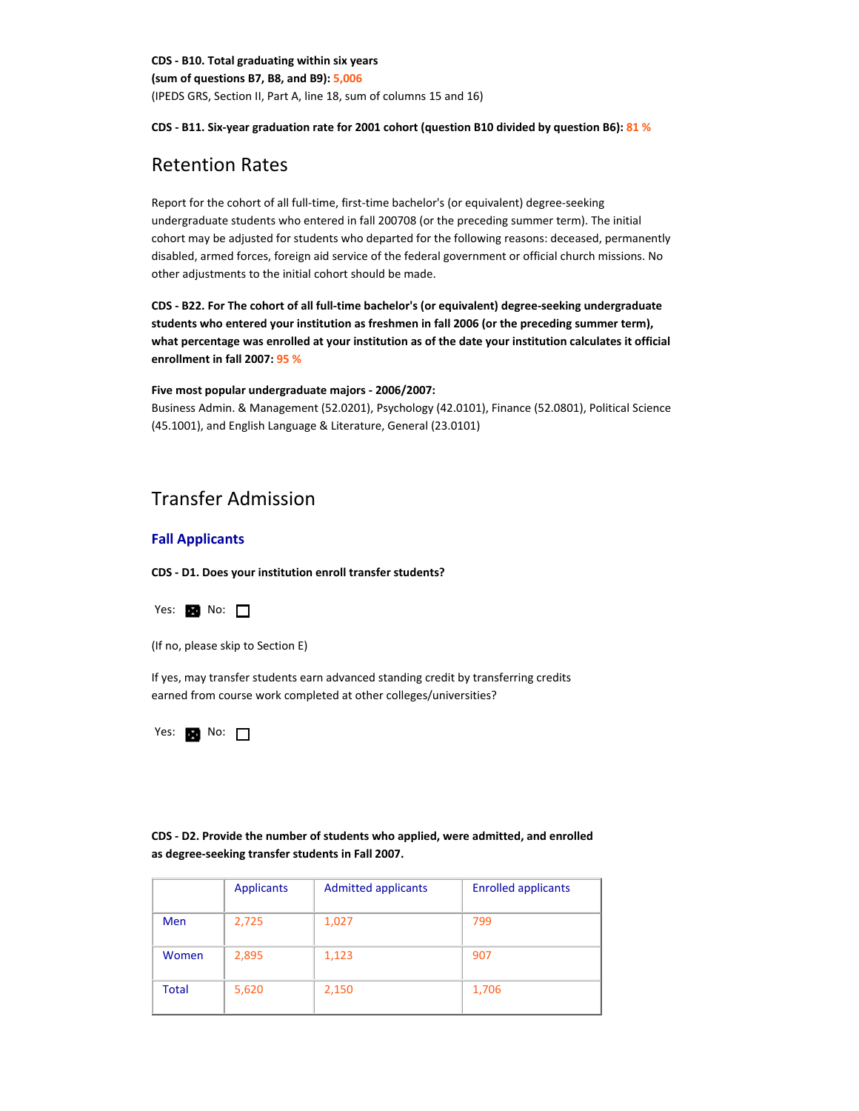**CDS ‐ B10. Total graduating within six years (sum of questions B7, B8, and B9): 5,006** (IPEDS GRS, Section II, Part A, line 18, sum of columns 15 and 16)

### CDS - B11. Six-year graduation rate for 2001 cohort (question B10 divided by question B6): 81 %

## Retention Rates

Report for the cohort of all full-time, first-time bachelor's (or equivalent) degree-seeking undergraduate students who entered in fall 200708 (or the preceding summer term). The initial cohort may be adjusted for students who departed for the following reasons: deceased, permanently disabled, armed forces, foreign aid service of the federal government or official church missions. No other adjustments to the initial cohort should be made.

**CDS ‐ B22. For The cohort of all full‐time bachelor's (or equivalent) degree‐seeking undergraduate students who entered your institution as freshmen in fall 2006 (or the preceding summer term), what percentage was enrolled at your institution as of the date your institution calculates it official enrollment in fall 2007: 95 %**

### **Five most popular undergraduate majors ‐ 2006/2007:**

Business Admin. & Management (52.0201), Psychology (42.0101), Finance (52.0801), Political Science (45.1001), and English Language & Literature, General (23.0101)

## Transfer Admission

### **Fall Applicants**

**CDS ‐ D1. Does your institution enroll transfer students?**



(If no, please skip to Section E)

If yes, may transfer students earn advanced standing credit by transferring credits earned from course work completed at other colleges/universities?

Yes:  $N$  No:  $\Box$ 

**CDS ‐ D2. Provide the number of students who applied, were admitted, and enrolled as degree‐seeking transfer students in Fall 2007.**

|              | <b>Applicants</b> | <b>Admitted applicants</b> | <b>Enrolled applicants</b> |
|--------------|-------------------|----------------------------|----------------------------|
| <b>Men</b>   | 2,725             | 1,027                      | 799                        |
| Women        | 2,895             | 1,123                      | 907                        |
| <b>Total</b> | 5,620             | 2,150                      | 1,706                      |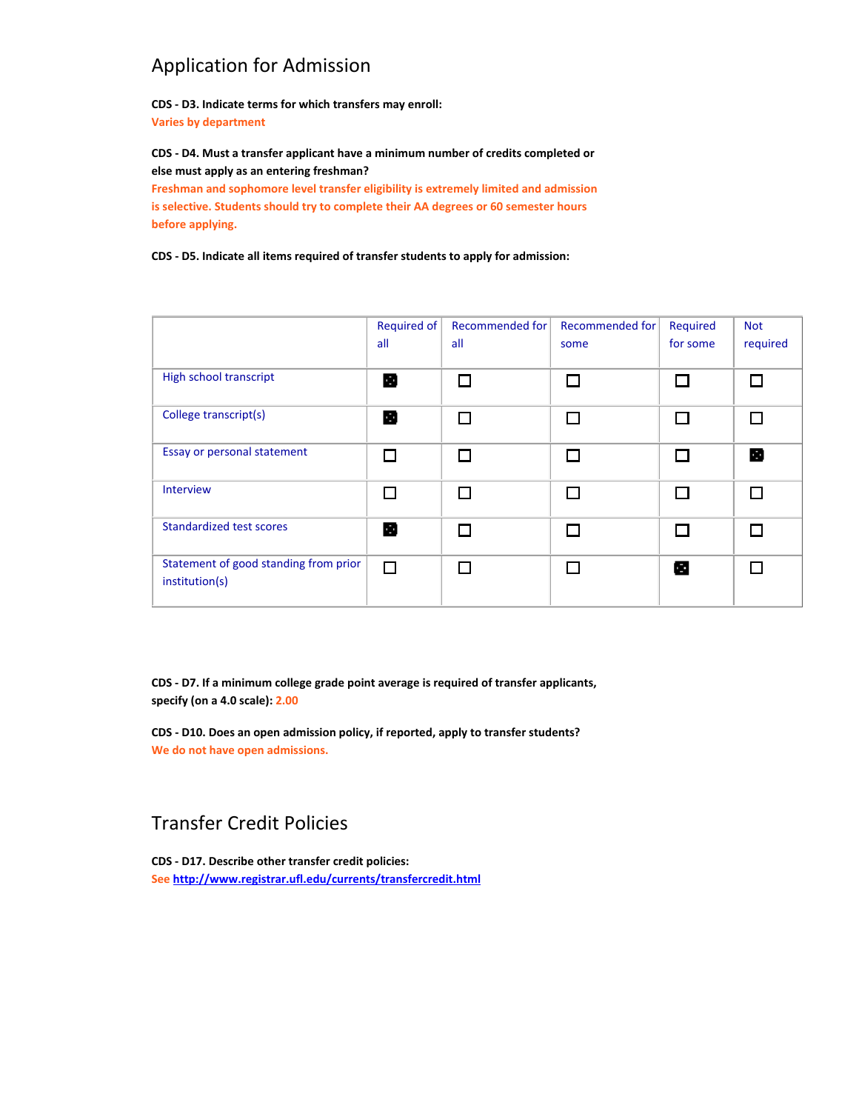# Application for Admission

**before applying.**

**CDS ‐ D3. Indicate terms for which transfers may enroll: Varies by department**

**CDS ‐ D4. Must a transfer applicant have a minimum number of credits completed or else must apply as an entering freshman? Freshman and sophomore level transfer eligibility is extremely limited and admission is selective. Students should try to complete their AA degrees or 60 semester hours**

**CDS ‐ D5. Indicate all items required of transfer students to apply for admission:**

|                                                         | Required of<br>all | Recommended for<br>all | <b>Recommended for</b><br>some | Required<br>for some | <b>Not</b><br>required |
|---------------------------------------------------------|--------------------|------------------------|--------------------------------|----------------------|------------------------|
| High school transcript                                  | B                  | П                      | $\mathbf{I}$                   |                      |                        |
| College transcript(s)                                   | в                  | П                      | Г                              |                      |                        |
| Essay or personal statement                             |                    | П                      | П                              |                      | B                      |
| Interview                                               | $\Box$             | П                      |                                |                      |                        |
| <b>Standardized test scores</b>                         | B                  | П                      |                                |                      | П                      |
| Statement of good standing from prior<br>institution(s) | П                  | П                      |                                | Œ                    |                        |

**CDS ‐ D7. If a minimum college grade point average is required of transfer applicants, specify (on a 4.0 scale): 2.00**

**CDS ‐ D10. Does an open admission policy, if reported, apply to transfer students? We do not have open admissions.**

# Transfer Credit Policies

**CDS ‐ D17. Describe other transfer credit policies: See http://www.registrar.ufl.edu/currents/transfercredit.html**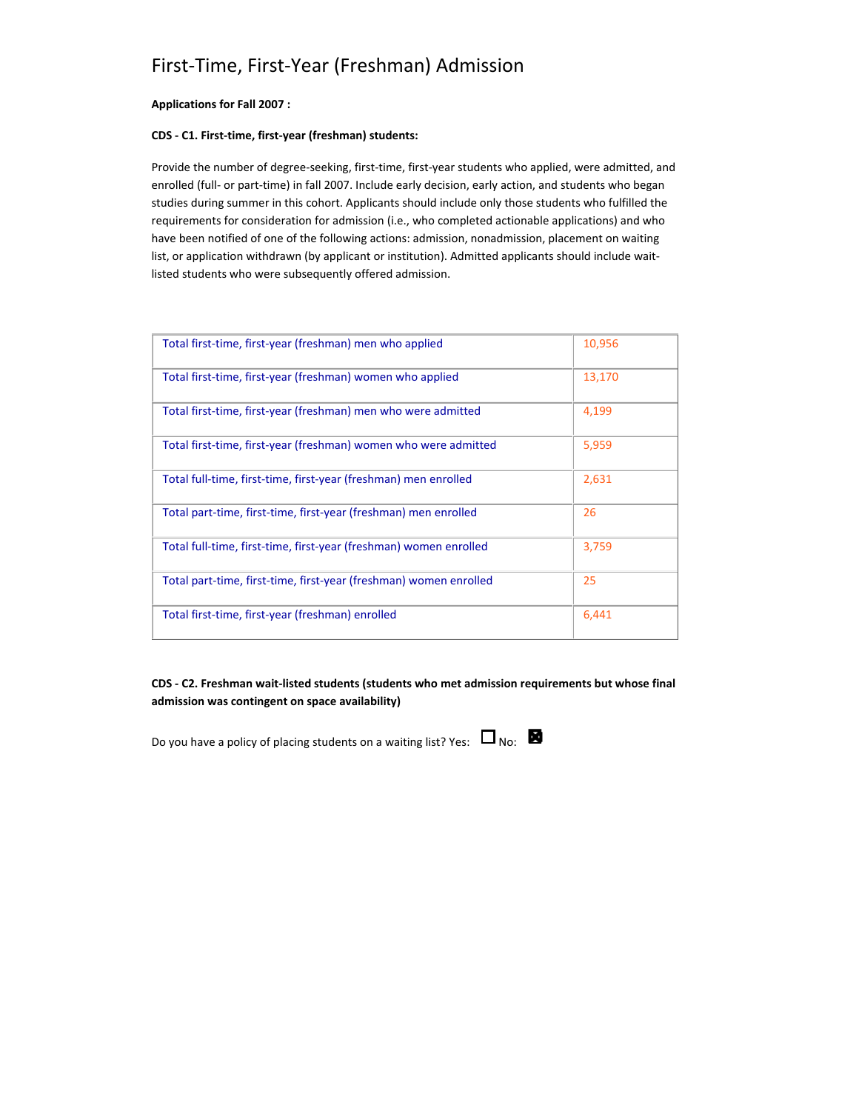# First‐Time, First‐Year (Freshman) Admission

### **Applications for Fall 2007 :**

### **CDS ‐ C1. First‐time, first‐year (freshman) students:**

Provide the number of degree-seeking, first-time, first-year students who applied, were admitted, and enrolled (full- or part-time) in fall 2007. Include early decision, early action, and students who began studies during summer in this cohort. Applicants should include only those students who fulfilled the requirements for consideration for admission (i.e., who completed actionable applications) and who have been notified of one of the following actions: admission, nonadmission, placement on waiting list, or application withdrawn (by applicant or institution). Admitted applicants should include waitlisted students who were subsequently offered admission.

| Total first-time, first-year (freshman) men who applied           | 10,956 |
|-------------------------------------------------------------------|--------|
| Total first-time, first-year (freshman) women who applied         | 13,170 |
| Total first-time, first-year (freshman) men who were admitted     | 4,199  |
| Total first-time, first-year (freshman) women who were admitted   | 5,959  |
| Total full-time, first-time, first-year (freshman) men enrolled   | 2,631  |
| Total part-time, first-time, first-year (freshman) men enrolled   | 26     |
| Total full-time, first-time, first-year (freshman) women enrolled | 3,759  |
| Total part-time, first-time, first-year (freshman) women enrolled | 25     |
| Total first-time, first-year (freshman) enrolled                  | 6,441  |

**CDS ‐ C2. Freshman wait‐listed students (students who met admission requirements but whose final admission was contingent on space availability)**

Do you have a policy of placing students on a waiting list? Yes:  $\Box_{\text{No:}}$ 

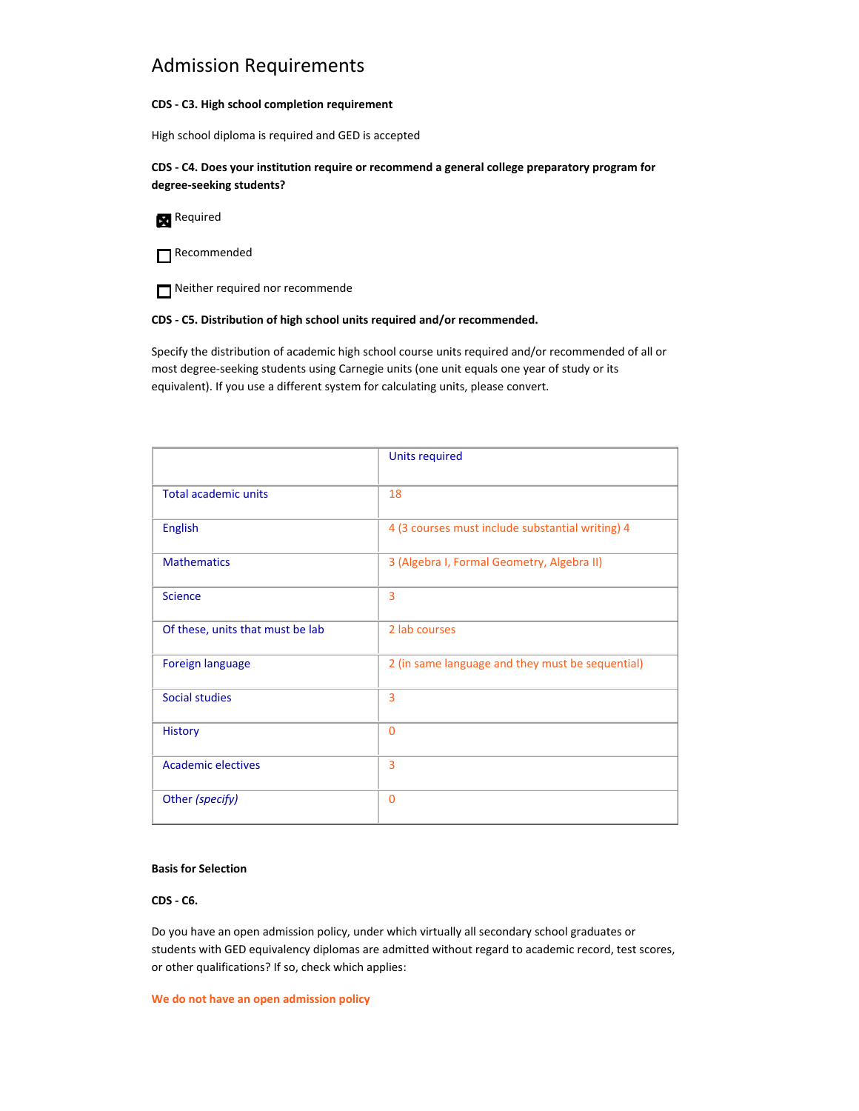## Admission Requirements

### **CDS ‐ C3. High school completion requirement**

High school diploma is required and GED is accepted

**CDS ‐ C4. Does your institution require or recommend a general college preparatory program for degree‐seeking students?**

Required

Recommended

Neither required nor recommende

### **CDS ‐ C5. Distribution of high school units required and/or recommended.**

Specify the distribution of academic high school course units required and/or recommended of all or most degree‐seeking students using Carnegie units (one unit equals one year of study or its equivalent). If you use a different system for calculating units, please convert.

|                                  | <b>Units required</b>                            |
|----------------------------------|--------------------------------------------------|
| <b>Total academic units</b>      | 18                                               |
| <b>English</b>                   | 4 (3 courses must include substantial writing) 4 |
| <b>Mathematics</b>               | 3 (Algebra I, Formal Geometry, Algebra II)       |
| <b>Science</b>                   | 3                                                |
| Of these, units that must be lab | 2 lab courses                                    |
| <b>Foreign language</b>          | 2 (in same language and they must be sequential) |
| <b>Social studies</b>            | 3                                                |
| <b>History</b>                   | $\Omega$                                         |
| <b>Academic electives</b>        | 3                                                |
| Other (specify)                  | $\mathbf{0}$                                     |

### **Basis for Selection**

### **CDS ‐ C6.**

Do you have an open admission policy, under which virtually all secondary school graduates or students with GED equivalency diplomas are admitted without regard to academic record, test scores, or other qualifications? If so, check which applies:

**We do not have an open admission policy**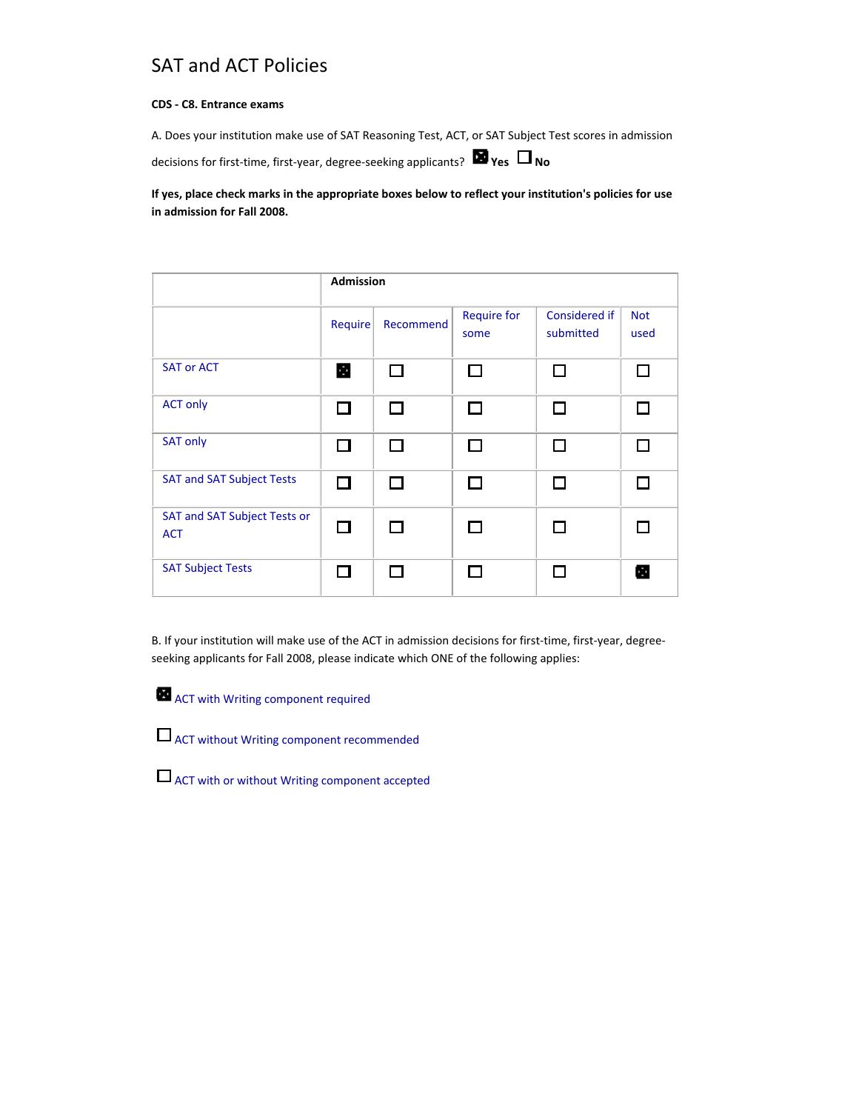# SAT and ACT Policies

### **CDS ‐ C8. Entrance exams**

A. Does your institution make use of SAT Reasoning Test, ACT, or SAT Subject Test scores in admission

decisions for first-time, first-year, degree-seeking applicants? **■ Yes** □ No

### **If yes, place check marks in the appropriate boxes below to reflect your institution's policies for use in admission for Fall 2008.**

|                                            | <b>Admission</b> |              |                                                                                                                                                                                                                                |                            |                    |
|--------------------------------------------|------------------|--------------|--------------------------------------------------------------------------------------------------------------------------------------------------------------------------------------------------------------------------------|----------------------------|--------------------|
|                                            | Require          | Recommend    | <b>Require for</b><br>some                                                                                                                                                                                                     | Considered if<br>submitted | <b>Not</b><br>used |
| <b>SAT or ACT</b>                          | E.               |              | $\overline{\phantom{0}}$                                                                                                                                                                                                       | П                          | $\Box$             |
| <b>ACT only</b>                            | П                |              |                                                                                                                                                                                                                                | П                          | П                  |
| <b>SAT only</b>                            | П                | $\mathbf{I}$ | ling and the control of the control of the control of the control of the control of the control of the control of the control of the control of the control of the control of the control of the control of the control of the | П                          | П                  |
| <b>SAT and SAT Subject Tests</b>           | П                | $\Box$       | П                                                                                                                                                                                                                              | П                          | П                  |
| SAT and SAT Subject Tests or<br><b>ACT</b> | П                |              |                                                                                                                                                                                                                                | $\mathbf{I}$               |                    |
| <b>SAT Subject Tests</b>                   | П                |              |                                                                                                                                                                                                                                | П                          | Ø                  |

B. If your institution will make use of the ACT in admission decisions for first-time, first-year, degreeseeking applicants for Fall 2008, please indicate which ONE of the following applies:

**ACT** with Writing component required



ACT with or without Writing component accepted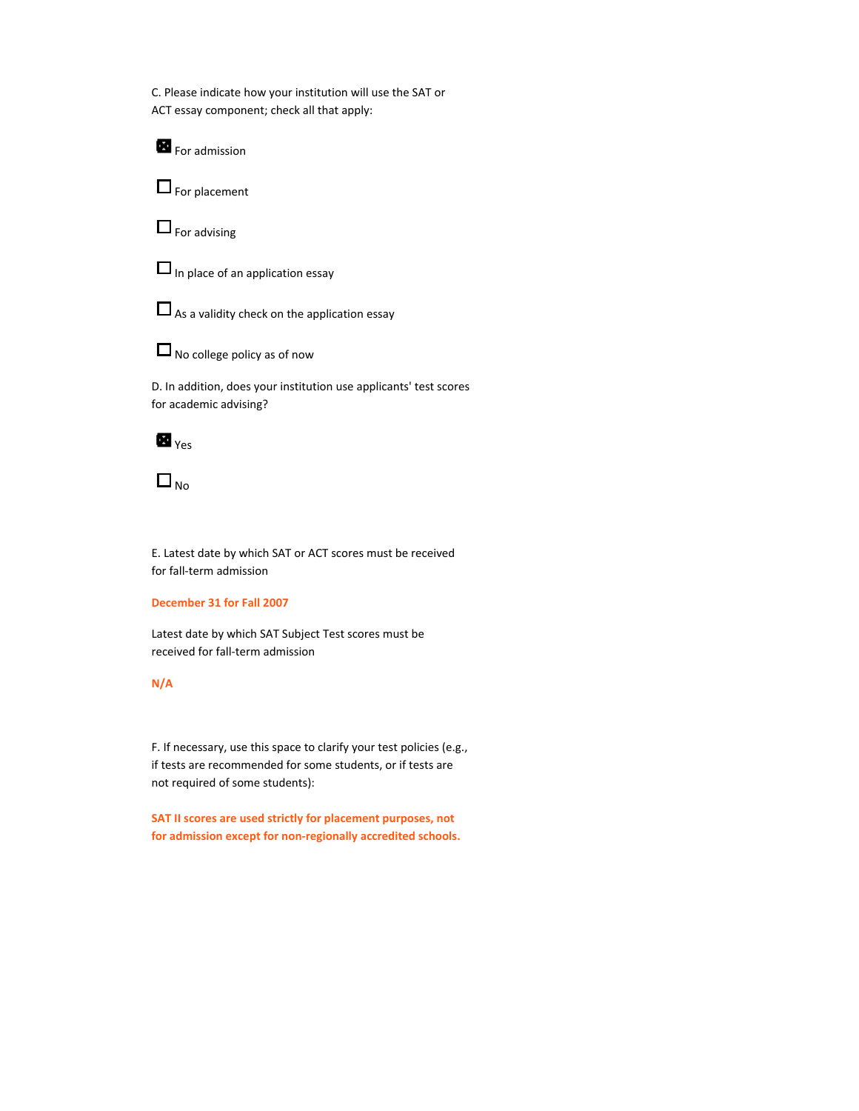C. Please indicate how your institution will use the SAT or ACT essay component; check all that apply:

For admission

 $\Box$  For placement

 $\Box$  For advising



 $\Box$  As a validity check on the application essay



 $\Box$  No college policy as of now

D. In addition, does your institution use applicants' test scores for academic advising?

**Yes** 



E. Latest date by which SAT or ACT scores must be received for fall‐term admission

### **December 31 for Fall 2007**

Latest date by which SAT Subject Test scores must be received for fall‐term admission

### **N/A**

F. If necessary, use this space to clarify your test policies (e.g., if tests are recommended for some students, or if tests are not required of some students):

**SAT II scores are used strictly for placement purposes, not for admission except for non‐regionally accredited schools.**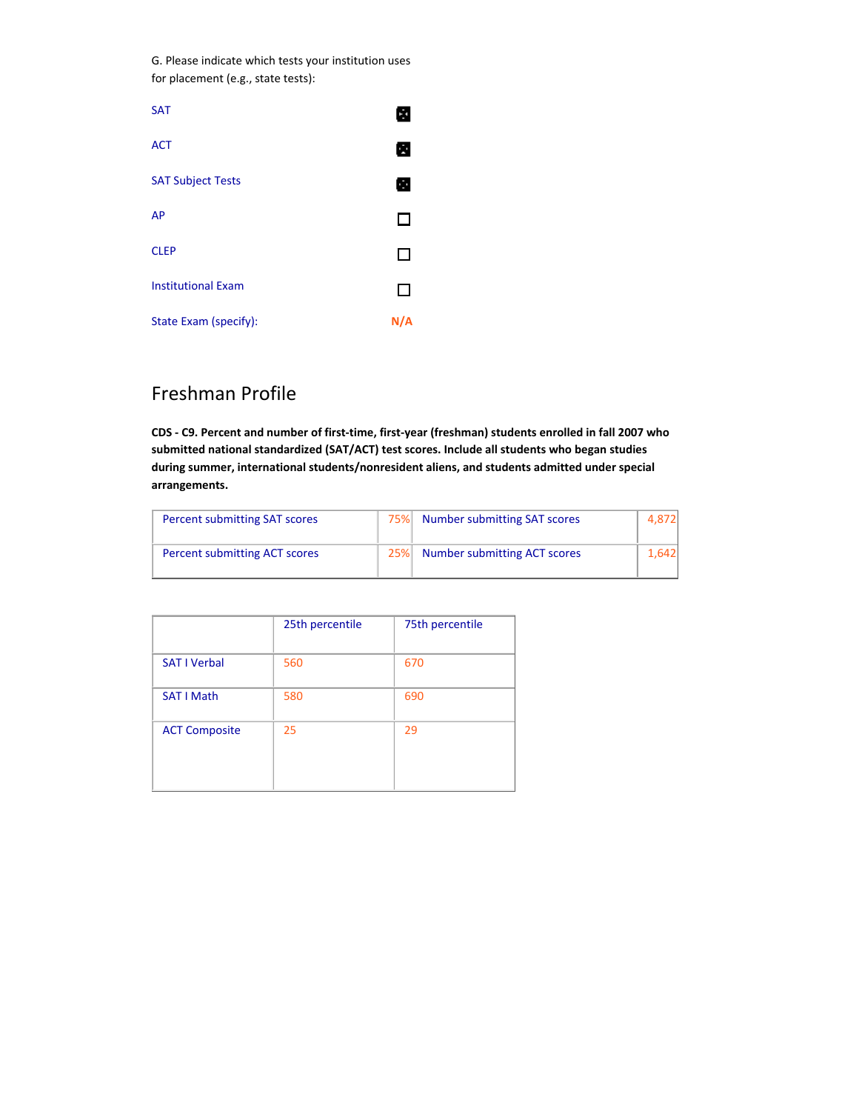G. Please indicate which tests your institution uses for placement (e.g., state tests):

| <b>SAT</b>                |     |
|---------------------------|-----|
| <b>ACT</b>                | т   |
| <b>SAT Subject Tests</b>  | ÷   |
| AP                        |     |
| <b>CLEP</b>               |     |
| <b>Institutional Exam</b> |     |
| State Exam (specify):     | N/A |

# Freshman Profile

CDS - C9. Percent and number of first-time, first-year (freshman) students enrolled in fall 2007 who **submitted national standardized (SAT/ACT) test scores. Include all students who began studies during summer, international students/nonresident aliens, and students admitted under special arrangements.**

| <b>Percent submitting SAT scores</b> | 75% | <b>Number submitting SAT scores</b> | .8721  |
|--------------------------------------|-----|-------------------------------------|--------|
| Percent submitting ACT scores        | 25% | Number submitting ACT scores        | 1.6421 |

|                      | 25th percentile | 75th percentile |
|----------------------|-----------------|-----------------|
| <b>SAT I Verbal</b>  | 560             | 670             |
| <b>SAT I Math</b>    | 580             | 690             |
| <b>ACT Composite</b> | 25              | 29              |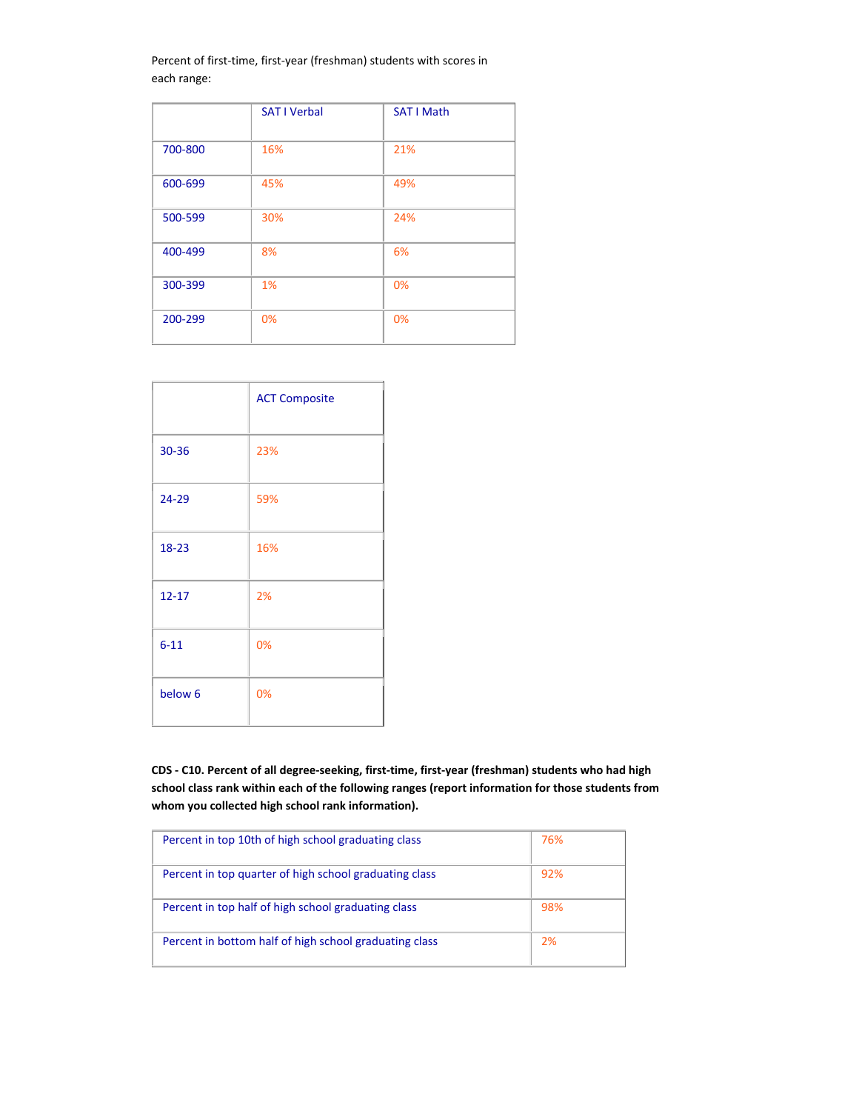Percent of first-time, first-year (freshman) students with scores in each range:

|         | <b>SAT I Verbal</b> | <b>SAT I Math</b> |
|---------|---------------------|-------------------|
| 700-800 | 16%                 | 21%               |
| 600-699 | 45%                 | 49%               |
| 500-599 | 30%                 | 24%               |
| 400-499 | 8%                  | 6%                |
| 300-399 | 1%                  | 0%                |
| 200-299 | 0%                  | 0%                |

|                    | <b>ACT Composite</b> |
|--------------------|----------------------|
| 30-36              | 23%                  |
| 24-29              | 59%                  |
| 18-23              | 16%                  |
| $12 - 17$          | 2%                   |
| $6 - 11$           | 0%                   |
| below <sub>6</sub> | 0%                   |

CDS - C10. Percent of all degree-seeking, first-time, first-year (freshman) students who had high **school class rank within each of the following ranges (report information for those students from whom you collected high school rank information).**

| Percent in top 10th of high school graduating class    | 76% |
|--------------------------------------------------------|-----|
| Percent in top quarter of high school graduating class | 92% |
| Percent in top half of high school graduating class    | 98% |
| Percent in bottom half of high school graduating class | 2%  |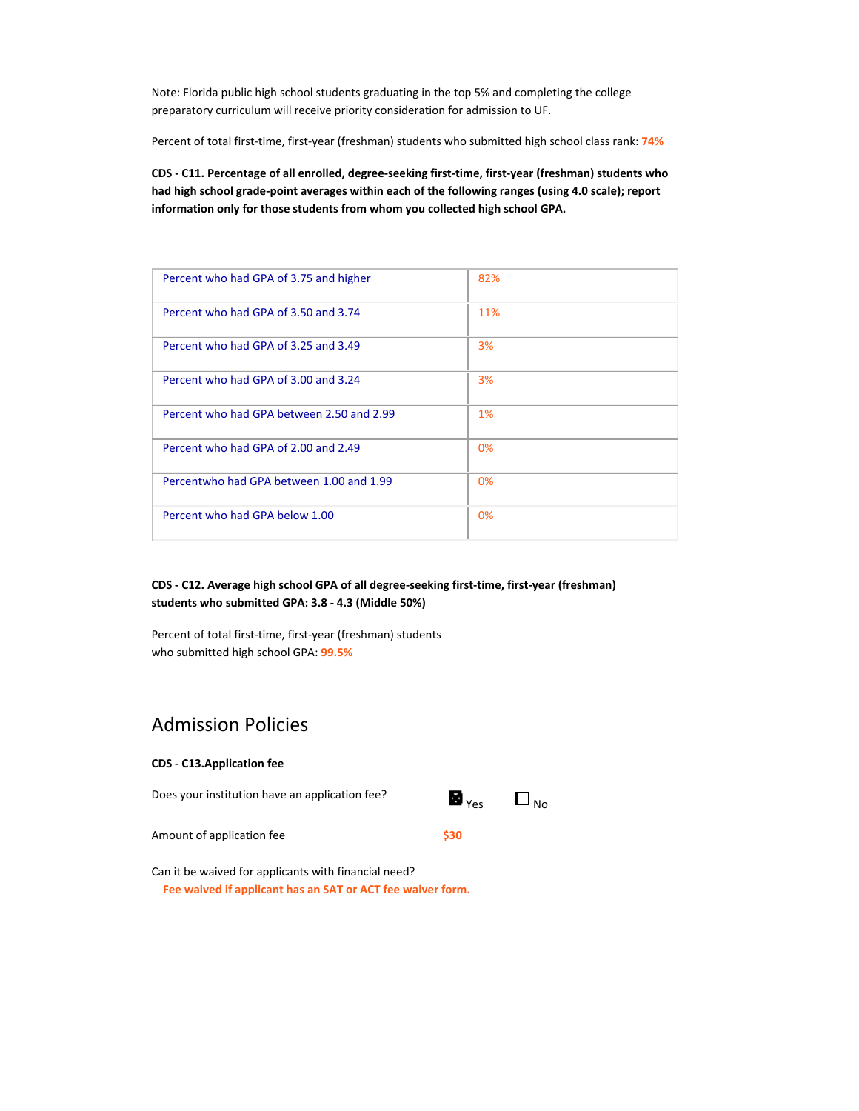Note: Florida public high school students graduating in the top 5% and completing the college preparatory curriculum will receive priority consideration for admission to UF.

Percent of total first‐time, first‐year (freshman) students who submitted high school class rank: **74%**

CDS - C11. Percentage of all enrolled, degree-seeking first-time, first-year (freshman) students who **had high school grade‐point averages within each of the following ranges (using 4.0 scale); report information only for those students from whom you collected high school GPA.**

| Percent who had GPA of 3.75 and higher    | 82% |
|-------------------------------------------|-----|
| Percent who had GPA of 3.50 and 3.74      | 11% |
| Percent who had GPA of 3.25 and 3.49      | 3%  |
| Percent who had GPA of 3.00 and 3.24      | 3%  |
| Percent who had GPA between 2.50 and 2.99 | 1%  |
| Percent who had GPA of 2.00 and 2.49      | 0%  |
| Percentwho had GPA between 1.00 and 1.99  | 0%  |
| Percent who had GPA below 1.00            | 0%  |

### **CDS ‐ C12. Average high school GPA of all degree‐seeking first‐time, first‐year (freshman) students who submitted GPA: 3.8 ‐ 4.3 (Middle 50%)**

Percent of total first‐time, first‐year (freshman) students who submitted high school GPA: **99.5%**

# Admission Policies

| <b>CDS - C13.Application fee</b>               |                                                            |  |
|------------------------------------------------|------------------------------------------------------------|--|
| Does your institution have an application fee? | $\blacksquare$ <sub>Yes</sub> $\blacksquare$ <sub>No</sub> |  |
| Amount of application fee                      | \$30                                                       |  |
|                                                |                                                            |  |

Can it be waived for applicants with financial need? **Fee waived if applicant has an SAT or ACT fee waiver form.**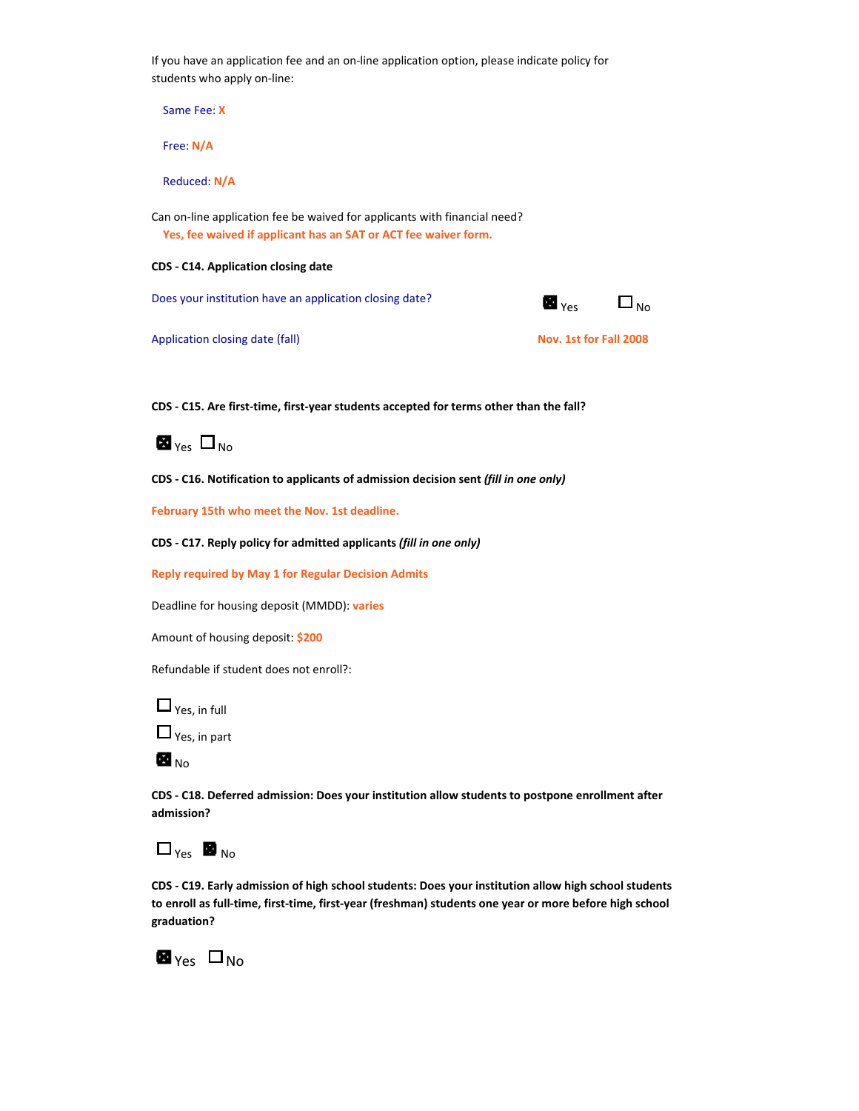If you have an application fee and an on-line application option, please indicate policy for students who apply on‐line:

Same Fee: **X**

Free: **N/A**

Reduced: **N/A**

Can on-line application fee be waived for applicants with financial need? **Yes, fee waived if applicant has an SAT or ACT fee waiver form.**

#### **CDS ‐ C14. Application closing date**

Does your institution have an application closing date?  $\Box$  Yes  $\Box$  No



Application closing date (fall) **Nov. 1st for Fall 2008**

**CDS ‐ C15. Are first‐time, first‐year students accepted for terms other than the fall?**



**CDS ‐ C16. Notification to applicants of admission decision sent** *(fill in one only)*

**February 15th who meet the Nov. 1st deadline.**

**CDS ‐ C17. Reply policy for admitted applicants** *(fill in one only)*

**Reply required by May 1 for Regular Decision Admits**

Deadline for housing deposit (MMDD): **varies**

Amount of housing deposit: **\$200**

Refundable if student does not enroll?:

 $\Box$  Yes, in full



 $\blacksquare$ <sub>No</sub>

**CDS ‐ C18. Deferred admission: Does your institution allow students to postpone enrollment after admission?**

# $\Box_{\text{Yes}}$  **No** <sub>No</sub>

**CDS ‐ C19. Early admission of high school students: Does your institution allow high school students** to enroll as full-time, first-time, first-year (freshman) students one year or more before high school **graduation?** 

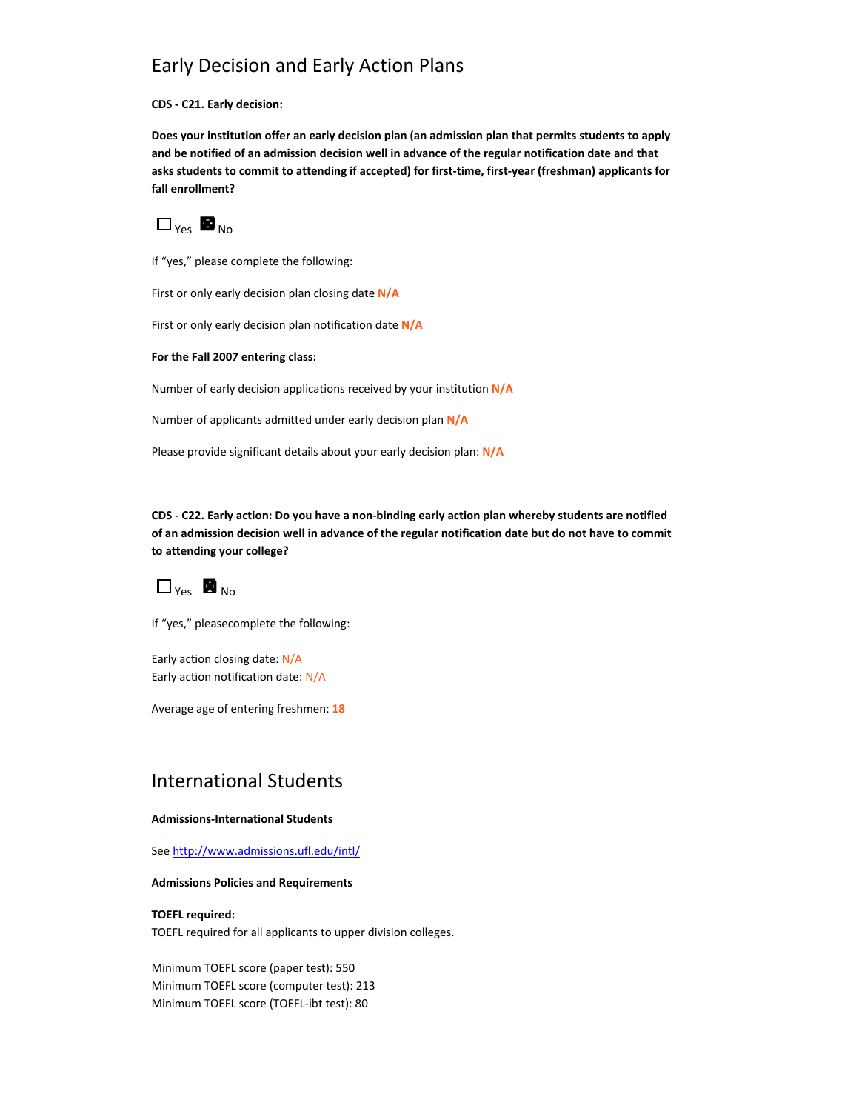# Early Decision and Early Action Plans

**CDS ‐ C21. Early decision:**

**Does your institution offer an early decision plan (an admission plan that permits students to apply and be notified of an admission decision well in advance of the regular notification date and that** asks students to commit to attending if accepted) for first-time, first-year (freshman) applicants for **fall enrollment?** 



If "yes," please complete the following:

First or only early decision plan closing date **N/A**

First or only early decision plan notification date **N/A**

**For the Fall 2007 entering class:**

Number of early decision applications received by your institution **N/A**

Number of applicants admitted under early decision plan **N/A**

Please provide significant details about your early decision plan: **N/A**

CDS - C22. Early action: Do you have a non-binding early action plan whereby students are notified of an admission decision well in advance of the regular notification date but do not have to commit **to attending your college?** 

 $\Box$  Yes  $\blacksquare$  No.

If "yes," pleasecomplete the following:

Early action closing date: N/A Early action notification date: N/A

Average age of entering freshmen: **18**

## International Students

### **Admissions‐International Students**

See http://www.admissions.ufl.edu/intl/

### **Admissions Policies and Requirements**

#### **TOEFL required:**

TOEFL required for all applicants to upper division colleges.

Minimum TOEFL score (paper test): 550 Minimum TOEFL score (computer test): 213 Minimum TOEFL score (TOEFL‐ibt test): 80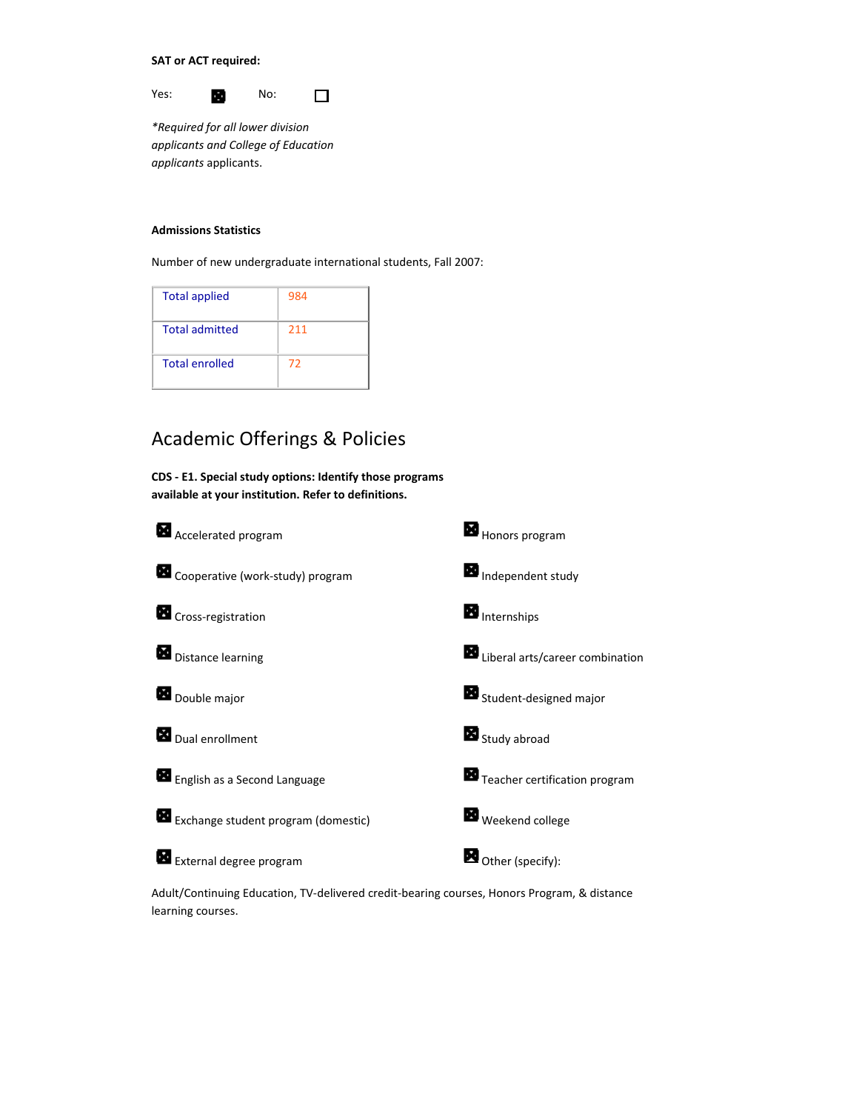**SAT or ACT required:**

Yes: **No:** No:  $\Box$ 

*\*Required for all lower division applicants and College of Education applicants* applicants.

### **Admissions Statistics**

Number of new undergraduate international students, Fall 2007:

| <b>Total applied</b>  | 984 |
|-----------------------|-----|
| <b>Total admitted</b> | 211 |
| <b>Total enrolled</b> | 72  |

# Academic Offerings & Policies

**CDS ‐ E1. Special study options: Identify those programs available at your institution. Refer to definitions.**



Adult/Continuing Education, TV‐delivered credit‐bearing courses, Honors Program, & distance learning courses.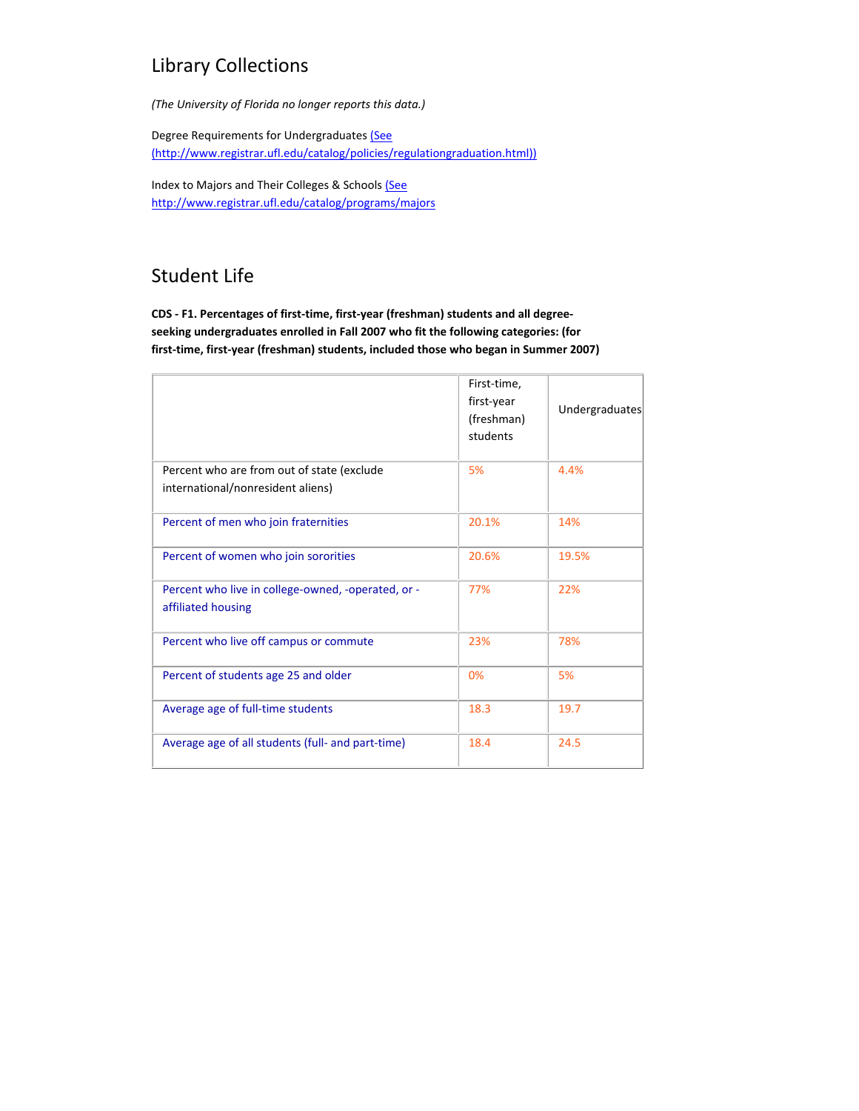# Library Collections

*(The University of Florida no longer reports this data.)*

Degree Requirements for Undergraduates (See (http://www.registrar.ufl.edu/catalog/policies/regulationgraduation.html))

Index to Majors and Their Colleges & Schools (See http://www.registrar.ufl.edu/catalog/programs/majors

# Student Life

**CDS ‐ F1. Percentages of first‐time, first‐year (freshman) students and all degree‐ seeking undergraduates enrolled in Fall 2007 who fit the following categories: (for first‐time, first‐year (freshman) students, included those who began in Summer 2007)**

|                                                                          | First-time,<br>first-year<br>(freshman)<br>students | Undergraduates |
|--------------------------------------------------------------------------|-----------------------------------------------------|----------------|
| Percent who are from out of state (exclude                               | 5%                                                  | 4.4%           |
| international/nonresident aliens)                                        |                                                     |                |
| Percent of men who join fraternities                                     | 20.1%                                               | 14%            |
| Percent of women who join sororities                                     | 20.6%                                               | 19.5%          |
| Percent who live in college-owned, -operated, or -<br>affiliated housing | 77%                                                 | 22%            |
| Percent who live off campus or commute                                   | 23%                                                 | 78%            |
| Percent of students age 25 and older                                     | 0%                                                  | 5%             |
| Average age of full-time students                                        | 18.3                                                | 19.7           |
| Average age of all students (full- and part-time)                        | 18.4                                                | 24.5           |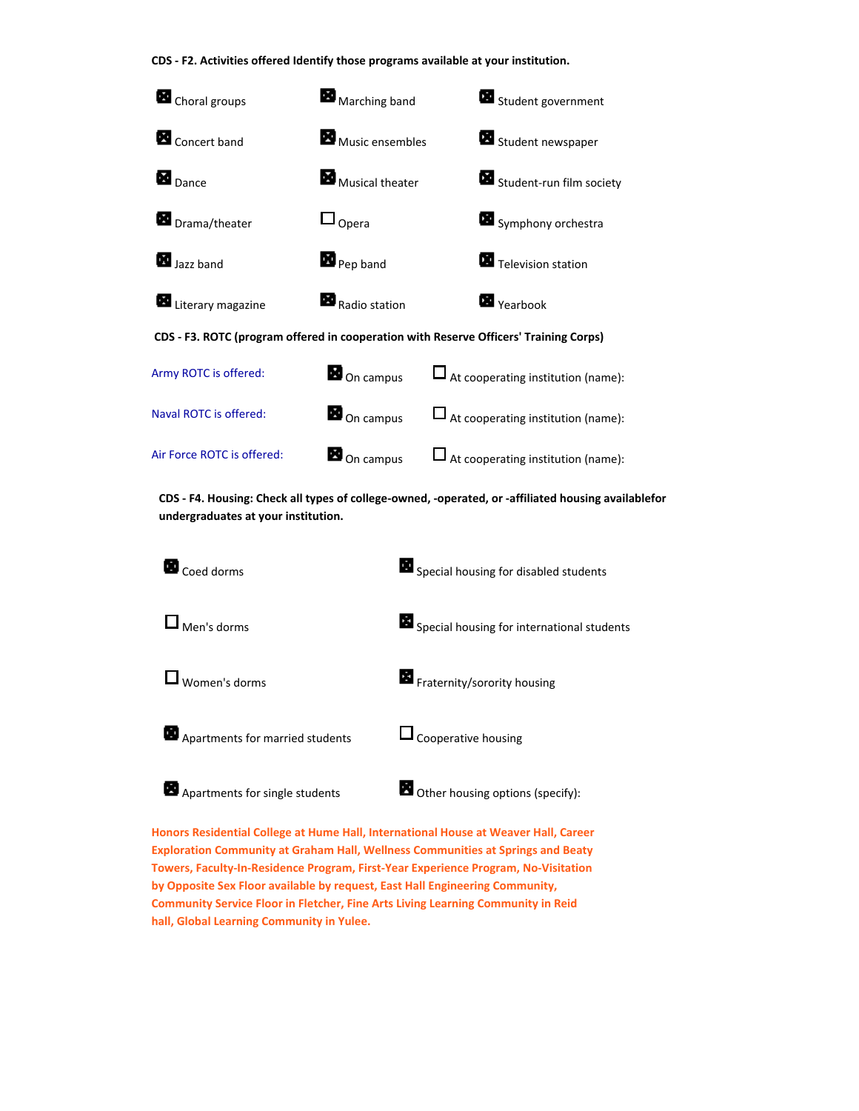**CDS ‐ F2. Activities offered Identify those programs available at your institution.**



CDS - F4. Housing: Check all types of college-owned, -operated, or -affiliated housing availablefor **undergraduates at your institution.** 



**Honors Residential College at Hume Hall, International House at Weaver Hall, Career Exploration Community at Graham Hall, Wellness Communities at Springs and Beaty Towers, Faculty‐In‐Residence Program, First‐Year Experience Program, No‐Visitation by Opposite Sex Floor available by request, East Hall Engineering Community, Community Service Floor in Fletcher, Fine Arts Living Learning Community in Reid hall, Global Learning Community in Yulee.**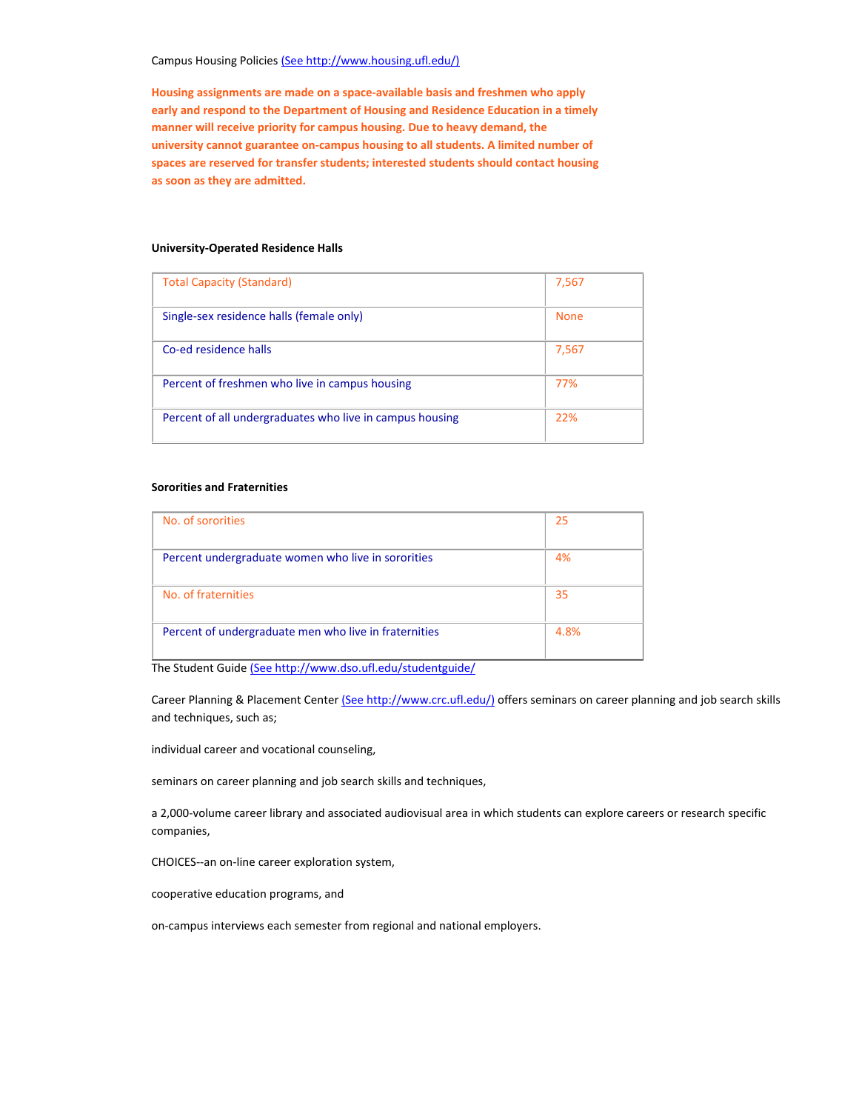### Campus Housing Policies (See http://www.housing.ufl.edu/)

**Housing assignments are made on a space‐available basis and freshmen who apply early and respond to the Department of Housing and Residence Education in a timely manner will receive priority for campus housing. Due to heavy demand, the university cannot guarantee on‐campus housing to all students. A limited number of spaces are reserved for transfer students; interested students should contact housing as soon as they are admitted.**

### **University‐Operated Residence Halls**

| <b>Total Capacity (Standard)</b>                         | 7,567       |
|----------------------------------------------------------|-------------|
| Single-sex residence halls (female only)                 | <b>None</b> |
| Co-ed residence halls                                    | 7,567       |
| Percent of freshmen who live in campus housing           | 77%         |
| Percent of all undergraduates who live in campus housing | 22%         |

### **Sororities and Fraternities**

| No. of sororities                                     | 25   |
|-------------------------------------------------------|------|
|                                                       |      |
| Percent undergraduate women who live in sororities    | 4%   |
|                                                       |      |
| No. of fraternities                                   | 35   |
|                                                       |      |
| Percent of undergraduate men who live in fraternities | 4.8% |
|                                                       |      |

The Student Guide (See http://www.dso.ufl.edu/studentguide/

Career Planning & Placement Center (See http://www.crc.ufl.edu/) offers seminars on career planning and job search skills and techniques, such as;

individual career and vocational counseling,

seminars on career planning and job search skills and techniques,

a 2,000‐volume career library and associated audiovisual area in which students can explore careers or research specific companies,

CHOICES‐‐an on‐line career exploration system,

cooperative education programs, and

on‐campus interviews each semester from regional and national employers.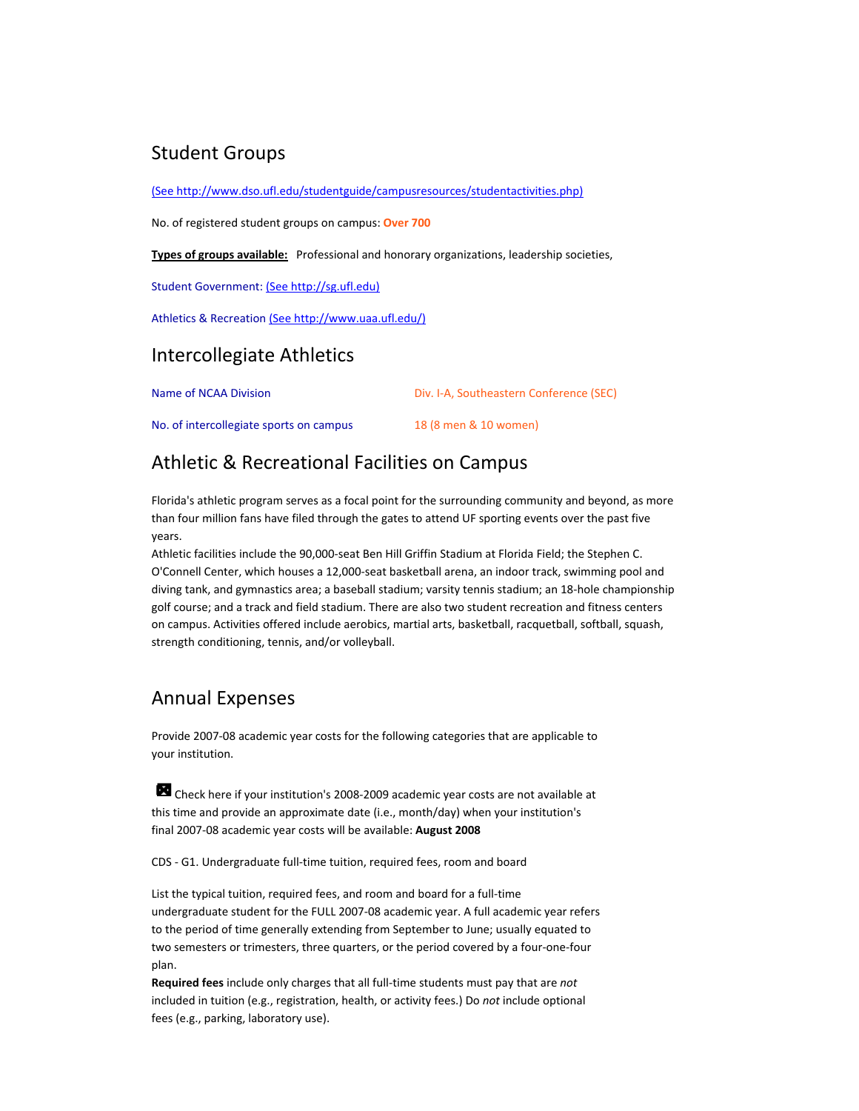## Student Groups

(See http://www.dso.ufl.edu/studentguide/campusresources/studentactivities.php)

No. of registered student groups on campus: **Over 700**

**Types of groups available:** Professional and honorary organizations, leadership societies,

Student Government: (See http://sg.ufl.edu)

Athletics & Recreation (See http://www.uaa.ufl.edu/)

## Intercollegiate Athletics

| Name of NCAA Division                   | Div. I-A, Southeastern Conference (SEC) |  |  |
|-----------------------------------------|-----------------------------------------|--|--|
| No. of intercollegiate sports on campus | 18 (8 men & 10 women)                   |  |  |

## Athletic & Recreational Facilities on Campus

Florida's athletic program serves as a focal point for the surrounding community and beyond, as more than four million fans have filed through the gates to attend UF sporting events over the past five years.

Athletic facilities include the 90,000‐seat Ben Hill Griffin Stadium at Florida Field; the Stephen C. O'Connell Center, which houses a 12,000‐seat basketball arena, an indoor track, swimming pool and diving tank, and gymnastics area; a baseball stadium; varsity tennis stadium; an 18‐hole championship golf course; and a track and field stadium. There are also two student recreation and fitness centers on campus. Activities offered include aerobics, martial arts, basketball, racquetball, softball, squash, strength conditioning, tennis, and/or volleyball.

## Annual Expenses

Provide 2007‐08 academic year costs for the following categories that are applicable to your institution.

Check here if your institution's 2008‐2009 academic year costs are not available at this time and provide an approximate date (i.e., month/day) when your institution's final 2007‐08 academic year costs will be available: **August 2008**

CDS ‐ G1. Undergraduate full‐time tuition, required fees, room and board

List the typical tuition, required fees, and room and board for a full‐time undergraduate student for the FULL 2007‐08 academic year. A full academic year refers to the period of time generally extending from September to June; usually equated to two semesters or trimesters, three quarters, or the period covered by a four‐one‐four plan.

**Required fees** include only charges that all full‐time students must pay that are *not* included in tuition (e.g., registration, health, or activity fees.) Do *not* include optional fees (e.g., parking, laboratory use).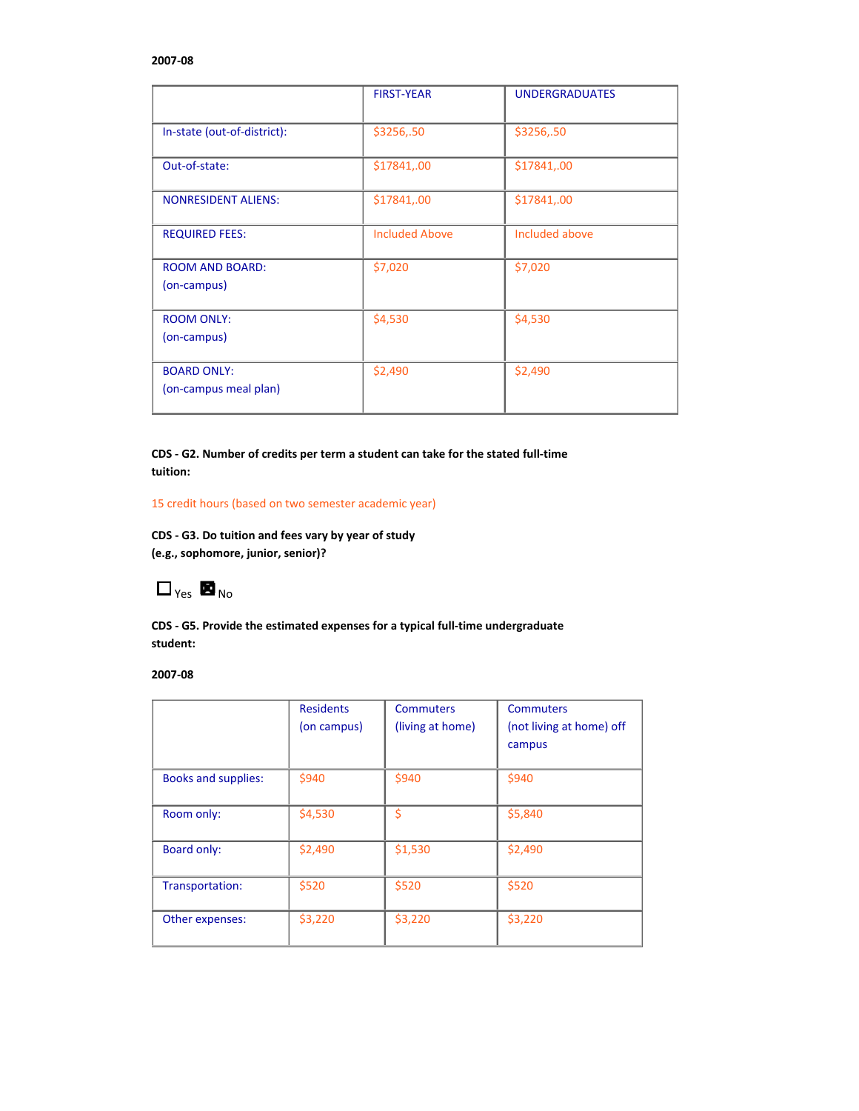### **2007‐08**

|                                             | <b>FIRST-YEAR</b>     | <b>UNDERGRADUATES</b> |
|---------------------------------------------|-----------------------|-----------------------|
| In-state (out-of-district):                 | \$3256,.50            | \$3256,.50            |
| Out-of-state:                               | \$17841,.00           | \$17841,.00           |
| <b>NONRESIDENT ALIENS:</b>                  | \$17841,.00           | \$17841,.00           |
| <b>REQUIRED FEES:</b>                       | <b>Included Above</b> | Included above        |
| <b>ROOM AND BOARD:</b><br>(on-campus)       | \$7,020               | \$7,020               |
| <b>ROOM ONLY:</b><br>(on-campus)            | \$4,530               | \$4,530               |
| <b>BOARD ONLY:</b><br>(on-campus meal plan) | \$2,490               | \$2,490               |

**CDS ‐ G2. Number of credits per term a student can take for the stated full‐time tuition:** 

### 15 credit hours (based on two semester academic year)

**CDS ‐ G3. Do tuition and fees vary by year of study (e.g., sophomore, junior, senior)?**

 $\Box_{\gamma_{es}}$  **No**<sub>No</sub>

**CDS ‐ G5. Provide the estimated expenses for a typical full‐time undergraduate student:**

### **2007‐08**

|                            | <b>Residents</b> | <b>Commuters</b> | <b>Commuters</b>         |
|----------------------------|------------------|------------------|--------------------------|
|                            | (on campus)      | (living at home) | (not living at home) off |
|                            |                  |                  | campus                   |
|                            |                  |                  |                          |
| <b>Books and supplies:</b> | \$940            | \$940            | \$940                    |
|                            |                  |                  |                          |
| Room only:                 | \$4,530          | \$               | \$5,840                  |
|                            |                  |                  |                          |
| Board only:                | \$2,490          | \$1,530          | \$2,490                  |
|                            |                  |                  |                          |
| Transportation:            | \$520            | \$520            | \$520                    |
|                            |                  |                  |                          |
| Other expenses:            | \$3,220          | \$3,220          | \$3,220                  |
|                            |                  |                  |                          |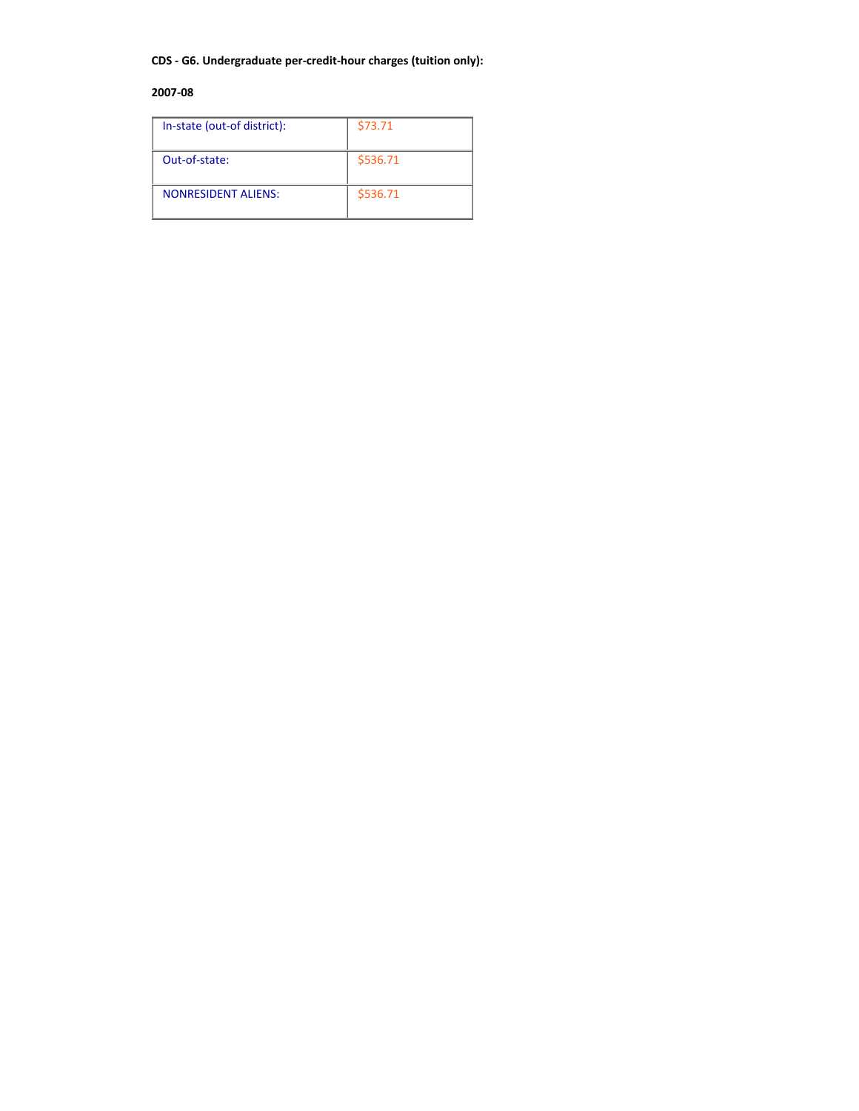### **CDS ‐ G6. Undergraduate per‐credit‐hour charges (tuition only):**

### **2007‐08**

| In-state (out-of district): | \$73.71  |
|-----------------------------|----------|
| Out-of-state:               | \$536.71 |
| <b>NONRESIDENT ALIENS:</b>  | \$536.71 |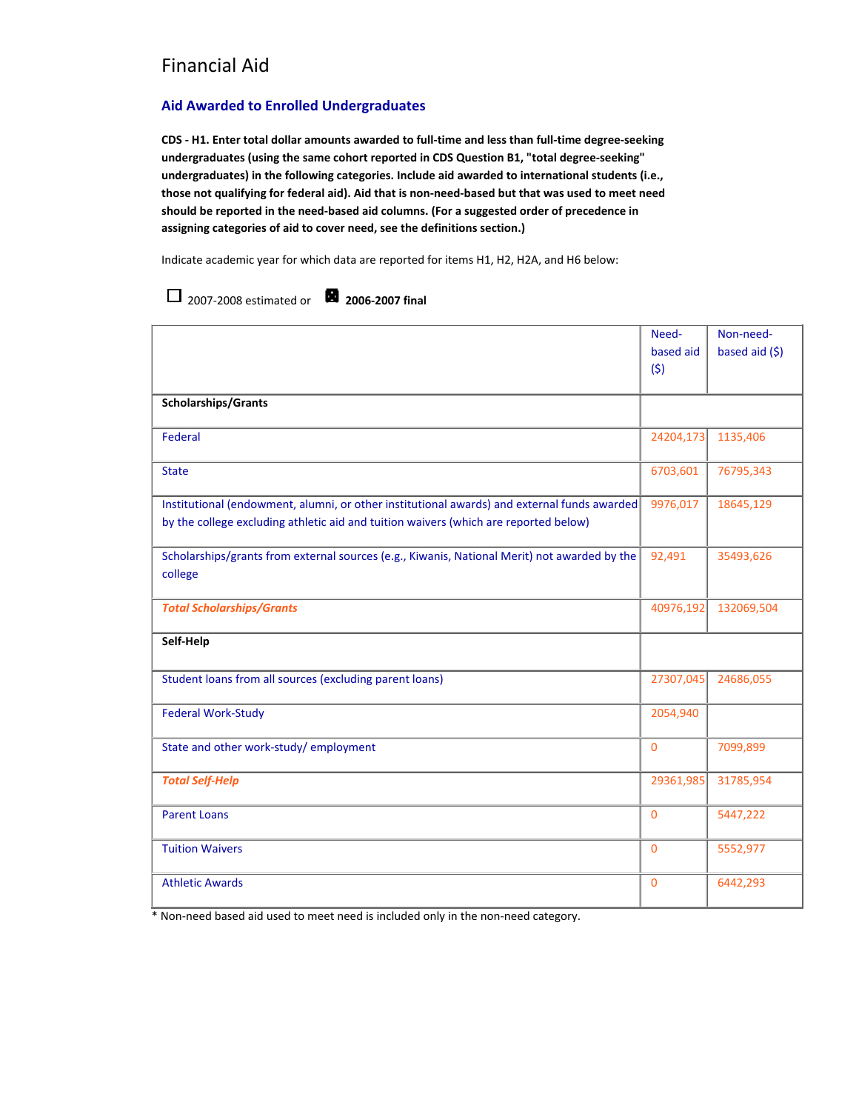### **Aid Awarded to Enrolled Undergraduates**

2007‐2008 estimated or **2006‐2007 final**

CDS - H1. Enter total dollar amounts awarded to full-time and less than full-time degree-seeking **undergraduates (using the same cohort reported in CDS Question B1, "total degree‐seeking" undergraduates) in the following categories. Include aid awarded to international students (i.e.,** those not qualifying for federal aid). Aid that is non-need-based but that was used to meet need **should be reported in the need‐based aid columns. (For a suggested order of precedence in assigning categories of aid to cover need, see the definitions section.)**

Indicate academic year for which data are reported for items H1, H2, H2A, and H6 below:

|                                                                                                                                                                                     | Need-<br>based aid<br>(5) | Non-need-<br>based aid $(5)$ |
|-------------------------------------------------------------------------------------------------------------------------------------------------------------------------------------|---------------------------|------------------------------|
| <b>Scholarships/Grants</b>                                                                                                                                                          |                           |                              |
| Federal                                                                                                                                                                             | 24204,173                 | 1135,406                     |
| <b>State</b>                                                                                                                                                                        | 6703,601                  | 76795,343                    |
| Institutional (endowment, alumni, or other institutional awards) and external funds awarded<br>by the college excluding athletic aid and tuition waivers (which are reported below) | 9976,017                  | 18645,129                    |
| Scholarships/grants from external sources (e.g., Kiwanis, National Merit) not awarded by the<br>college                                                                             | 92,491                    | 35493,626                    |
| <b>Total Scholarships/Grants</b>                                                                                                                                                    | 40976,192                 | 132069,504                   |
| Self-Help                                                                                                                                                                           |                           |                              |
| Student loans from all sources (excluding parent loans)                                                                                                                             | 27307,045                 | 24686,055                    |
| <b>Federal Work-Study</b>                                                                                                                                                           | 2054,940                  |                              |
| State and other work-study/employment                                                                                                                                               | $\Omega$                  | 7099,899                     |
| <b>Total Self-Help</b>                                                                                                                                                              | 29361,985                 | 31785,954                    |
| <b>Parent Loans</b>                                                                                                                                                                 | $\Omega$                  | 5447,222                     |
| <b>Tuition Waivers</b>                                                                                                                                                              | $\overline{0}$            | 5552,977                     |
| <b>Athletic Awards</b>                                                                                                                                                              | $\overline{0}$            | 6442,293                     |

\* Non‐need based aid used to meet need is included only in the non‐need category.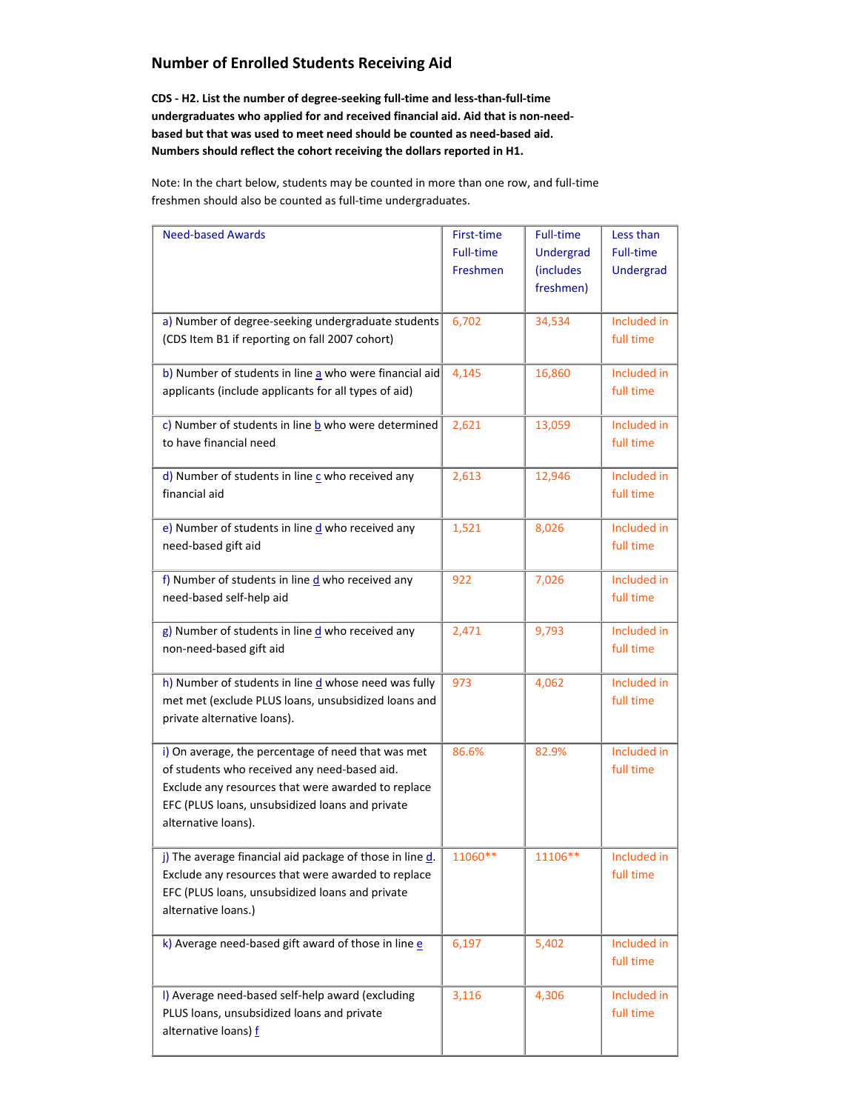## **Number of Enrolled Students Receiving Aid**

**CDS ‐ H2. List the number of degree‐seeking full‐time and less‐than‐full‐time undergraduates who applied for and received financial aid. Aid that is non‐need‐ based but that was used to meet need should be counted as need‐based aid. Numbers should reflect the cohort receiving the dollars reported in H1.**

Note: In the chart below, students may be counted in more than one row, and full‐time freshmen should also be counted as full‐time undergraduates.

| <b>Need-based Awards</b>                                                                                                                                                                                                           | First-time<br><b>Full-time</b><br>Freshmen | <b>Full-time</b><br><b>Undergrad</b><br>(includes<br>freshmen) | Less than<br><b>Full-time</b><br>Undergrad |
|------------------------------------------------------------------------------------------------------------------------------------------------------------------------------------------------------------------------------------|--------------------------------------------|----------------------------------------------------------------|--------------------------------------------|
| a) Number of degree-seeking undergraduate students<br>(CDS Item B1 if reporting on fall 2007 cohort)                                                                                                                               | 6,702                                      | 34,534                                                         | Included in<br>full time                   |
| b) Number of students in line a who were financial aid<br>applicants (include applicants for all types of aid)                                                                                                                     | 4,145                                      | 16,860                                                         | Included in<br>full time                   |
| c) Number of students in line $b$ who were determined<br>to have financial need                                                                                                                                                    | 2,621                                      | 13,059                                                         | Included in<br>full time                   |
| d) Number of students in line $c$ who received any<br>financial aid                                                                                                                                                                | 2,613                                      | 12,946                                                         | Included in<br>full time                   |
| e) Number of students in line $\frac{d}{dx}$ who received any<br>need-based gift aid                                                                                                                                               | 1,521                                      | 8,026                                                          | Included in<br>full time                   |
| f) Number of students in line $\frac{d}{dx}$ who received any<br>need-based self-help aid                                                                                                                                          | 922                                        | 7,026                                                          | Included in<br>full time                   |
| $g$ ) Number of students in line $d$ who received any<br>non-need-based gift aid                                                                                                                                                   | 2,471                                      | 9,793                                                          | Included in<br>full time                   |
| h) Number of students in line d whose need was fully<br>met met (exclude PLUS loans, unsubsidized loans and<br>private alternative loans).                                                                                         | 973                                        | 4,062                                                          | Included in<br>full time                   |
| i) On average, the percentage of need that was met<br>of students who received any need-based aid.<br>Exclude any resources that were awarded to replace<br>EFC (PLUS loans, unsubsidized loans and private<br>alternative loans). | 86.6%                                      | 82.9%                                                          | Included in<br>full time                   |
| j) The average financial aid package of those in line d.<br>Exclude any resources that were awarded to replace<br>EFC (PLUS loans, unsubsidized loans and private<br>alternative loans.)                                           | $11060**$                                  | $11106**$                                                      | Included in<br>full time                   |
| k) Average need-based gift award of those in line $e$                                                                                                                                                                              | 6,197                                      | 5,402                                                          | Included in<br>full time                   |
| I) Average need-based self-help award (excluding<br>PLUS loans, unsubsidized loans and private<br>alternative loans) f                                                                                                             | 3,116                                      | 4,306                                                          | Included in<br>full time                   |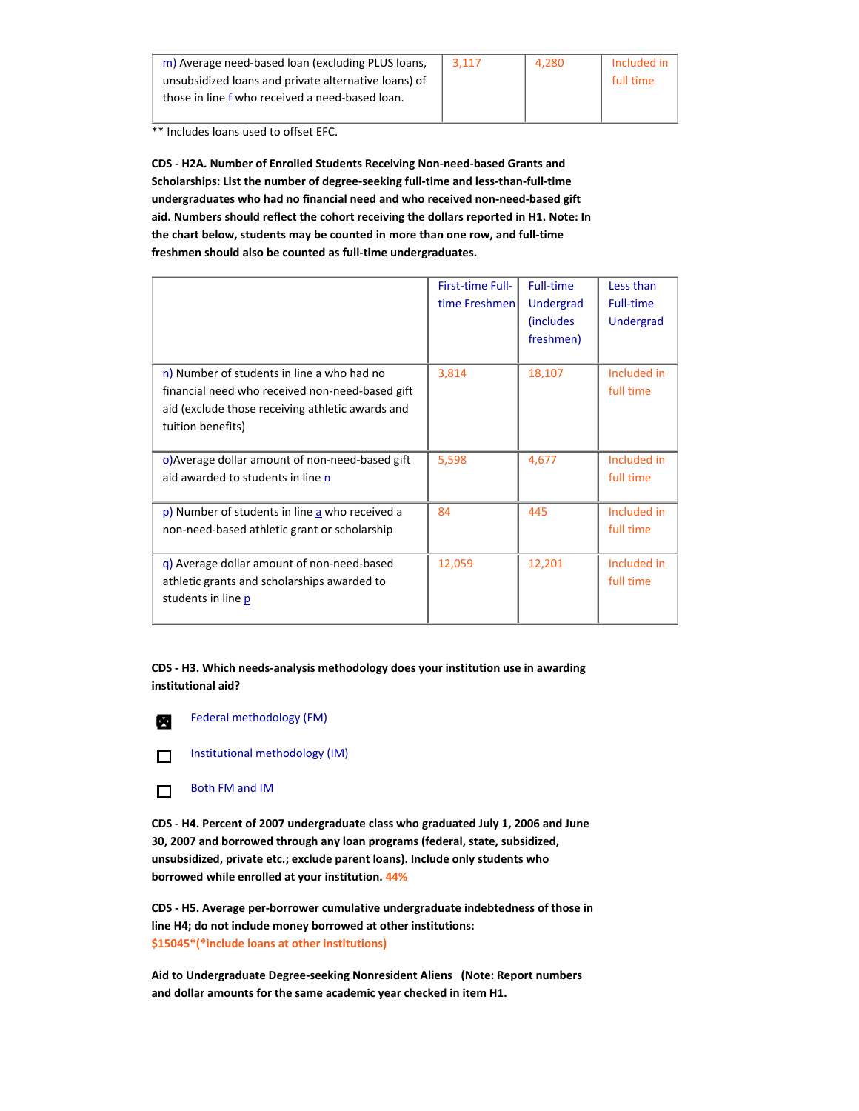| m) Average need-based loan (excluding PLUS loans,    | 3.117 | 4.280 | Included in |
|------------------------------------------------------|-------|-------|-------------|
| unsubsidized loans and private alternative loans) of |       |       | full time   |
| those in line f who received a need-based loan.      |       |       |             |
|                                                      |       |       |             |

\*\* Includes loans used to offset EFC.

**CDS ‐ H2A. Number of Enrolled Students Receiving Non‐need‐based Grants and Scholarships: List the number of degree‐seeking full‐time and less‐than‐full‐time undergraduates who had no financial need and who received non‐need‐based gift aid. Numbers should reflect the cohort receiving the dollars reported in H1. Note: In the chart below, students may be counted in more than one row, and full‐time freshmen should also be counted as full‐time undergraduates.** 

|                                                                                                                                                                        | <b>First-time Full-</b><br>time Freshmen | <b>Full-time</b><br>Undergrad<br><i>(includes)</i><br>freshmen) | Less than<br>Full-time<br>Undergrad |
|------------------------------------------------------------------------------------------------------------------------------------------------------------------------|------------------------------------------|-----------------------------------------------------------------|-------------------------------------|
| n) Number of students in line a who had no<br>financial need who received non-need-based gift<br>aid (exclude those receiving athletic awards and<br>tuition benefits) | 3,814                                    | 18,107                                                          | Included in<br>full time            |
| o) Average dollar amount of non-need-based gift<br>aid awarded to students in line n                                                                                   | 5,598                                    | 4,677                                                           | Included in<br>full time            |
| p) Number of students in line a who received a<br>non-need-based athletic grant or scholarship                                                                         | 84                                       | 445                                                             | Included in<br>full time            |
| g) Average dollar amount of non-need-based<br>athletic grants and scholarships awarded to<br>students in line p                                                        | 12,059                                   | 12,201                                                          | Included in<br>full time            |

**CDS ‐ H3. Which needs‐analysis methodology does your institution use in awarding institutional aid?**

м

Federal methodology (FM)

Institutional methodology (IM)  $\Box$ 

Both FM and IM  $\Box$ 

**CDS ‐ H4. Percent of 2007 undergraduate class who graduated July 1, 2006 and June 30, 2007 and borrowed through any loan programs (federal, state, subsidized, unsubsidized, private etc.; exclude parent loans). Include only students who borrowed while enrolled at your institution. 44%**

**CDS ‐ H5. Average per‐borrower cumulative undergraduate indebtedness of those in line H4; do not include money borrowed at other institutions: \$15045\*(\*include loans at other institutions)**

**Aid to Undergraduate Degree‐seeking Nonresident Aliens (Note: Report numbers and dollar amounts for the same academic year checked in item H1.**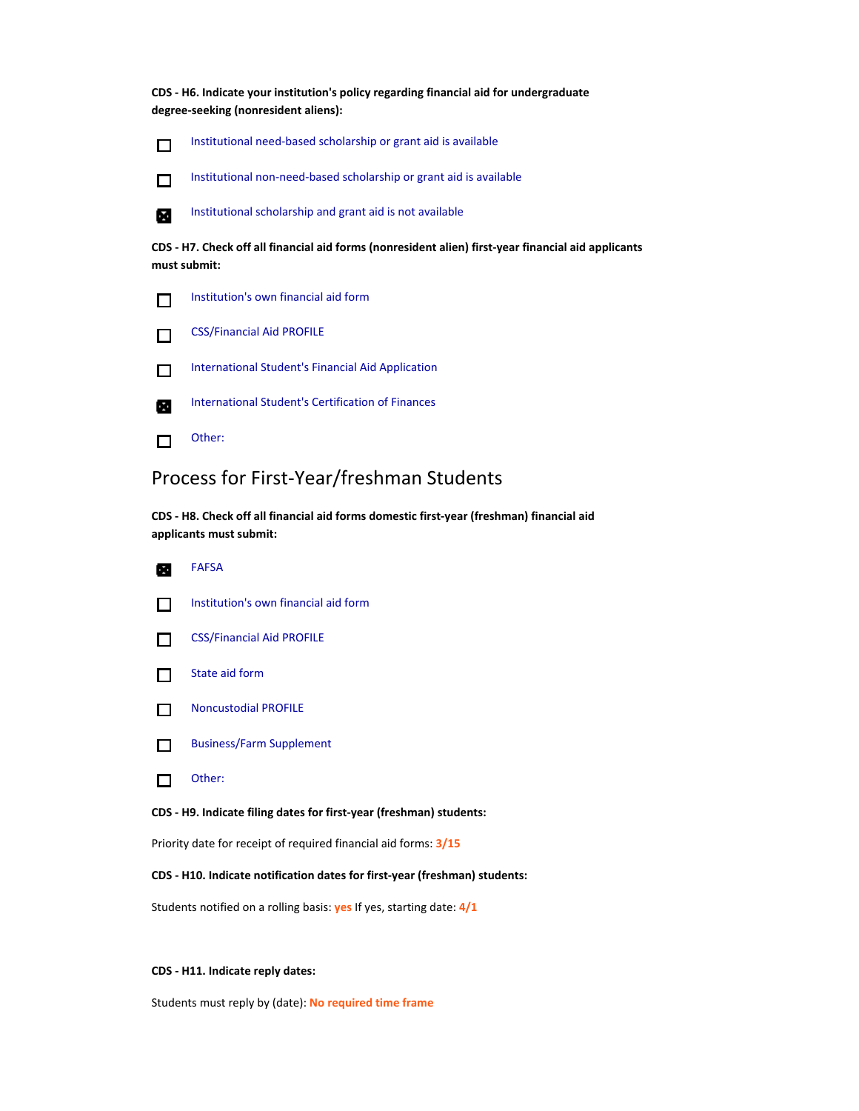**CDS ‐ H6. Indicate your institution's policy regarding financial aid for undergraduate degree‐seeking (nonresident aliens):**



Institutional need‐based scholarship or grant aid is available

Institutional non‐need‐based scholarship or grant aid is available



 $\Box$ 

Institutional scholarship and grant aid is not available

**CDS ‐ H7. Check off all financial aid forms (nonresident alien) first‐year financial aid applicants must submit:**





International Student's Financial Aid Application  $\Box$ 



International Student's Certification of Finances

Other:  $\Box$ 

## Process for First‐Year/freshman Students

**CDS ‐ H8. Check off all financial aid forms domestic first‐year (freshman) financial aid applicants must submit:**

| <b>FAFSA</b>                                                        |
|---------------------------------------------------------------------|
| Institution's own financial aid form                                |
| <b>CSS/Financial Aid PROFILE</b>                                    |
| State aid form                                                      |
| <b>Noncustodial PROFILE</b>                                         |
| <b>Business/Farm Supplement</b>                                     |
| Other:                                                              |
| CDS - H9. Indicate filing dates for first-year (freshman) students: |
| Priority date for receipt of required financial aid forms: 3/15     |
|                                                                     |

### **CDS ‐ H10. Indicate notification dates for first‐year (freshman) students:**

Students notified on a rolling basis: **yes** If yes, starting date: **4/1**

### **CDS ‐ H11. Indicate reply dates:**

Students must reply by (date): **No required time frame**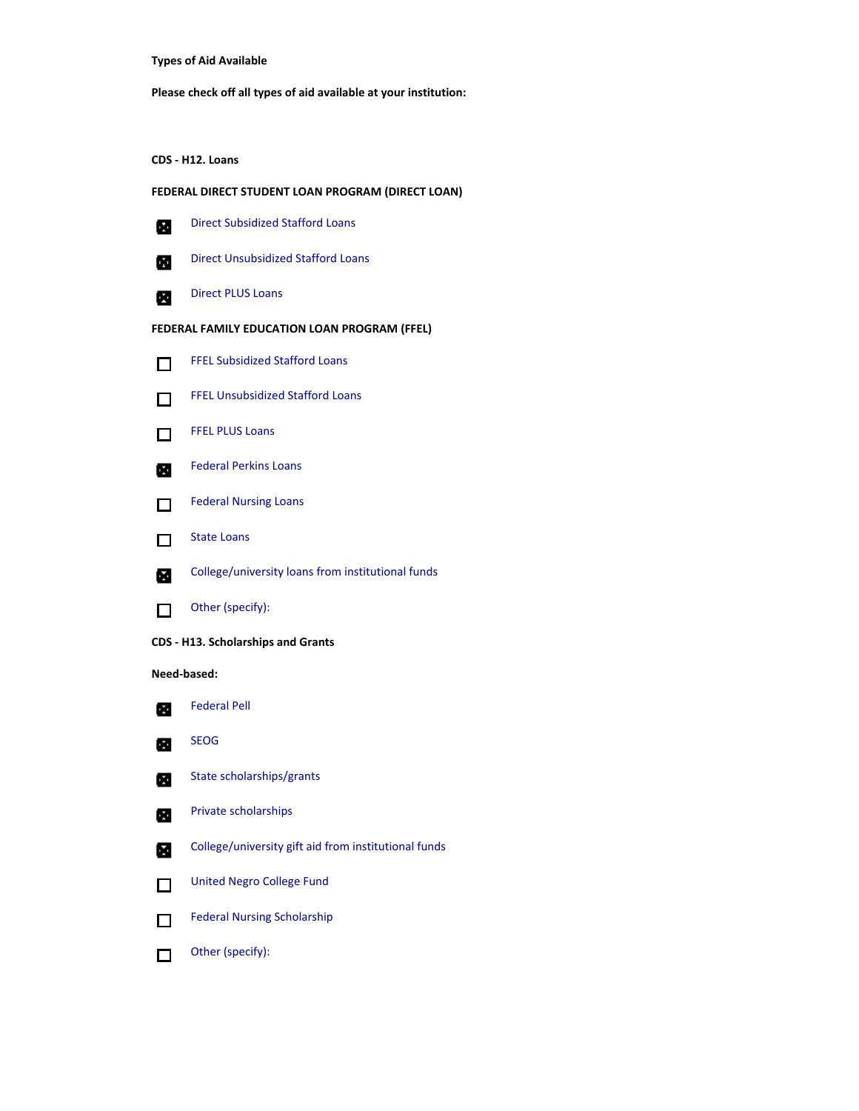**Types of Aid Available**

**Please check off all types of aid available at your institution:**

**CDS ‐ H12. Loans**

### **FEDERAL DIRECT STUDENT LOAN PROGRAM (DIRECT LOAN)**

| ₩ | <b>Direct Subsidized Stafford Loans</b> |
|---|-----------------------------------------|
|   |                                         |

Direct Unsubsidized Stafford Loans

- $\blacksquare$ 図
- Direct PLUS Loans

### **FEDERAL FAMILY EDUCATION LOAN PROGRAM (FFEL)**

- FFEL Subsidized Stafford Loans  $\Box$
- FFEL Unsubsidized Stafford Loans  $\Box$



- Federal Perkins Loans 図
- Federal Nursing Loans  $\Box$
- State Loans  $\Box$
- College/university loans from institutional funds м
- Other (specify):  $\Box$
- **CDS ‐ H13. Scholarships and Grants**

### **Need‐based:**



- SEOG  $\bullet$
- State scholarships/grants  $\blacksquare$
- Private scholarships œ
- College/university gift aid from institutional funds  $\blacksquare$
- United Negro College Fund  $\Box$
- Federal Nursing Scholarship  $\Box$
- Other (specify): $\Box$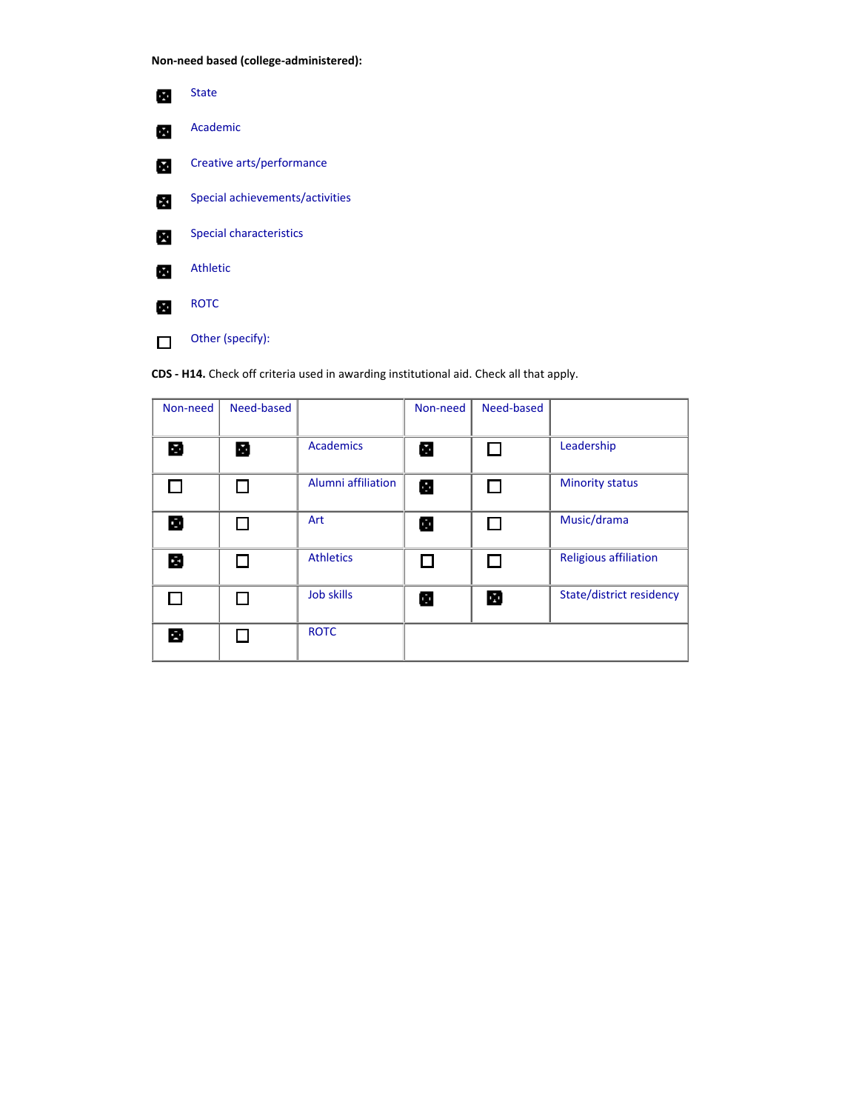**Non‐need based (college‐administered):**



Other (specify):  $\Box$ 

**CDS ‐ H14.** Check off criteria used in awarding institutional aid. Check all that apply.

| Non-need | Need-based |                           | Non-need     | Need-based |                              |
|----------|------------|---------------------------|--------------|------------|------------------------------|
| В        | B          | <b>Academics</b>          | М            |            | Leadership                   |
|          |            | <b>Alumni affiliation</b> | a            |            | <b>Minority status</b>       |
| В        |            | Art                       | Œ            |            | Music/drama                  |
| 図        |            | <b>Athletics</b>          | $\mathbf{I}$ |            | <b>Religious affiliation</b> |
|          |            | Job skills                | Œ            | М          | State/district residency     |
| В        |            | <b>ROTC</b>               |              |            |                              |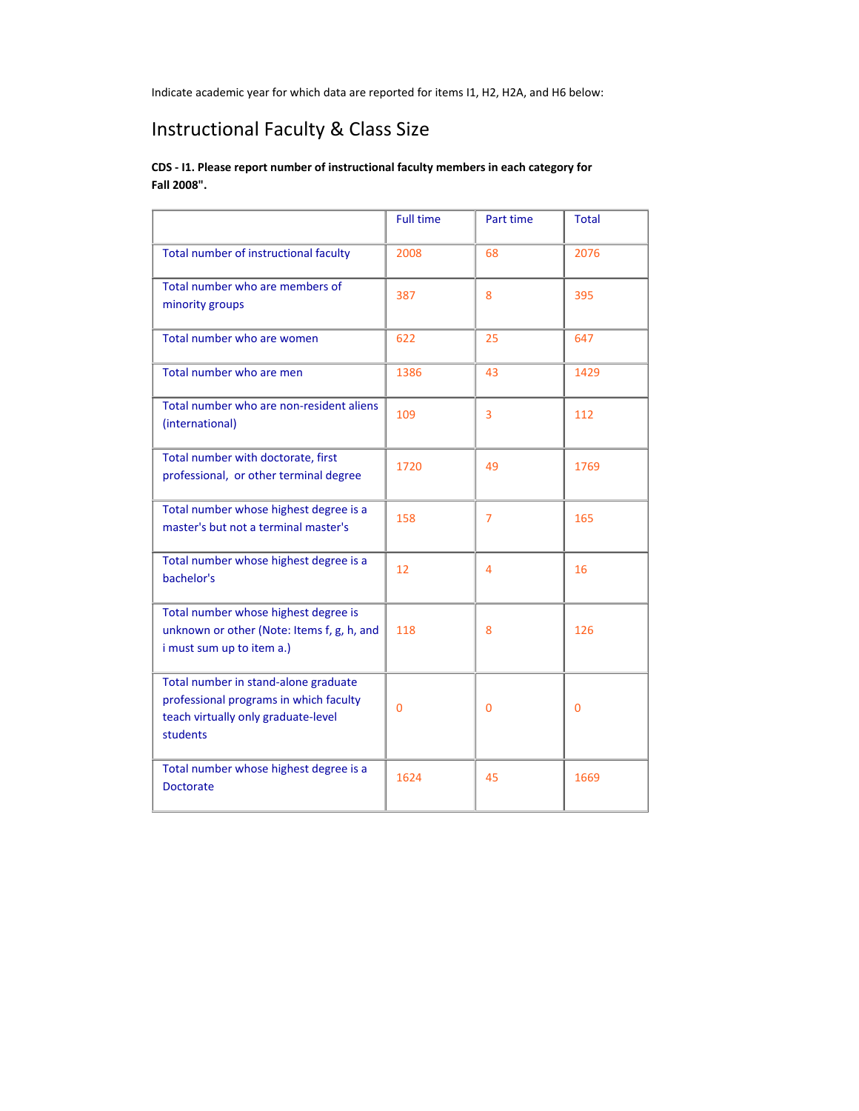Indicate academic year for which data are reported for items I1, H2, H2A, and H6 below:

# Instructional Faculty & Class Size

### **CDS ‐ I1. Please report number of instructional faculty members in each category for Fall 2008".**

|                                                                                                                                   | <b>Full time</b> | Part time      | <b>Total</b> |
|-----------------------------------------------------------------------------------------------------------------------------------|------------------|----------------|--------------|
| Total number of instructional faculty                                                                                             | 2008             | 68             | 2076         |
| Total number who are members of<br>minority groups                                                                                | 387              | 8              | 395          |
| Total number who are women                                                                                                        | 622              | 25             | 647          |
| Total number who are men                                                                                                          | 1386             | 43             | 1429         |
| Total number who are non-resident aliens<br>(international)                                                                       | 109              | 3              | 112          |
| Total number with doctorate, first<br>professional, or other terminal degree                                                      | 1720             | 49             | 1769         |
| Total number whose highest degree is a<br>master's but not a terminal master's                                                    | 158              | $\overline{7}$ | 165          |
| Total number whose highest degree is a<br>bachelor's                                                                              | 12               | 4              | 16           |
| Total number whose highest degree is<br>unknown or other (Note: Items f, g, h, and<br>i must sum up to item a.)                   | 118              | 8              | 126          |
| Total number in stand-alone graduate<br>professional programs in which faculty<br>teach virtually only graduate-level<br>students | $\overline{0}$   | 0              | $\mathbf{0}$ |
| Total number whose highest degree is a<br><b>Doctorate</b>                                                                        | 1624             | 45             | 1669         |